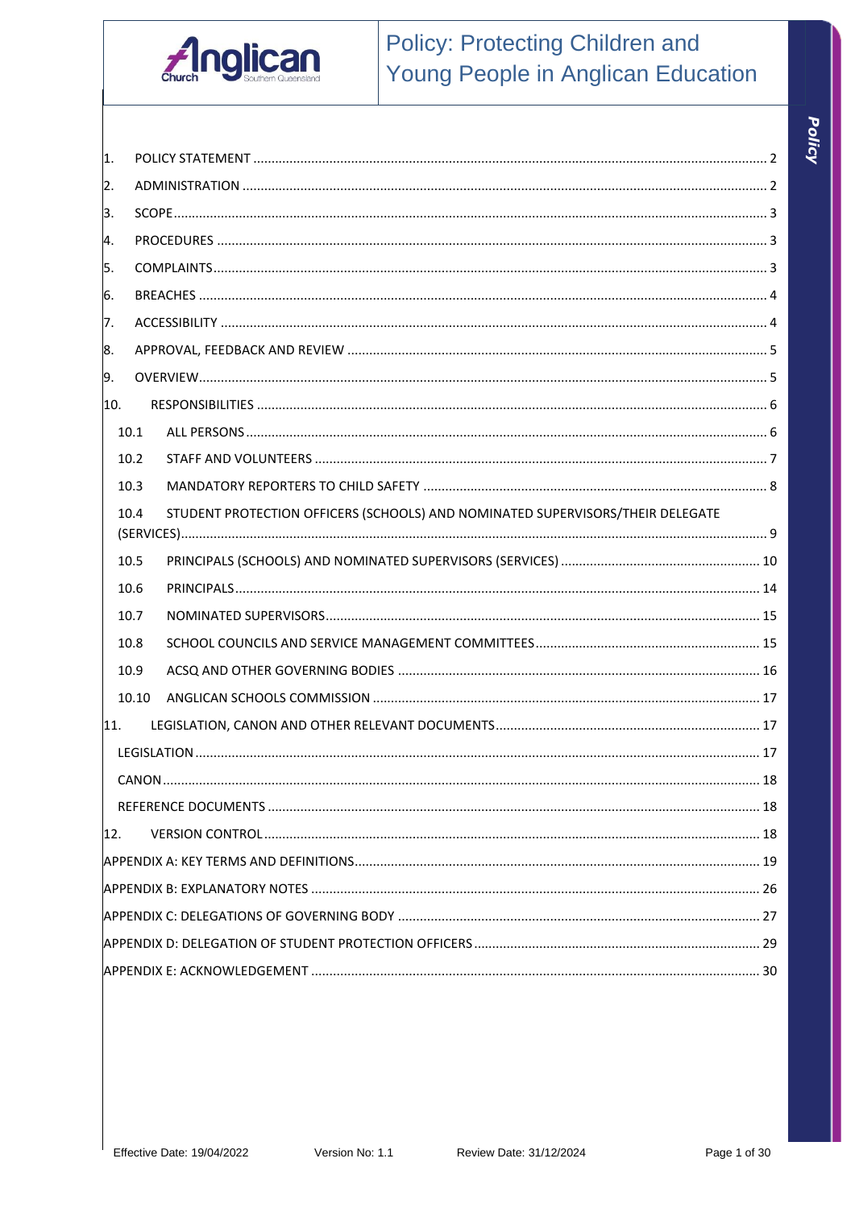

# **Policy: Protecting Children and** Young People in Anglican Education

| 1.           |       |                                                                                |  |  |  |
|--------------|-------|--------------------------------------------------------------------------------|--|--|--|
| 2.           |       |                                                                                |  |  |  |
| 3.           |       |                                                                                |  |  |  |
| 4.           |       |                                                                                |  |  |  |
| 5.           |       |                                                                                |  |  |  |
| 6.           |       |                                                                                |  |  |  |
| 7.           |       |                                                                                |  |  |  |
| 8.           |       |                                                                                |  |  |  |
| 9.           |       |                                                                                |  |  |  |
| 10.          |       |                                                                                |  |  |  |
|              | 10.1  |                                                                                |  |  |  |
|              | 10.2  |                                                                                |  |  |  |
|              | 10.3  |                                                                                |  |  |  |
|              | 10.4  | STUDENT PROTECTION OFFICERS (SCHOOLS) AND NOMINATED SUPERVISORS/THEIR DELEGATE |  |  |  |
|              | 10.5  |                                                                                |  |  |  |
|              | 10.6  |                                                                                |  |  |  |
|              | 10.7  |                                                                                |  |  |  |
|              | 10.8  |                                                                                |  |  |  |
|              | 10.9  |                                                                                |  |  |  |
|              | 10.10 |                                                                                |  |  |  |
| 11.          |       |                                                                                |  |  |  |
|              |       |                                                                                |  |  |  |
|              |       |                                                                                |  |  |  |
|              |       |                                                                                |  |  |  |
| $ 12\rangle$ |       |                                                                                |  |  |  |
|              |       |                                                                                |  |  |  |
|              |       |                                                                                |  |  |  |
|              |       |                                                                                |  |  |  |
|              |       |                                                                                |  |  |  |
|              |       |                                                                                |  |  |  |
|              |       |                                                                                |  |  |  |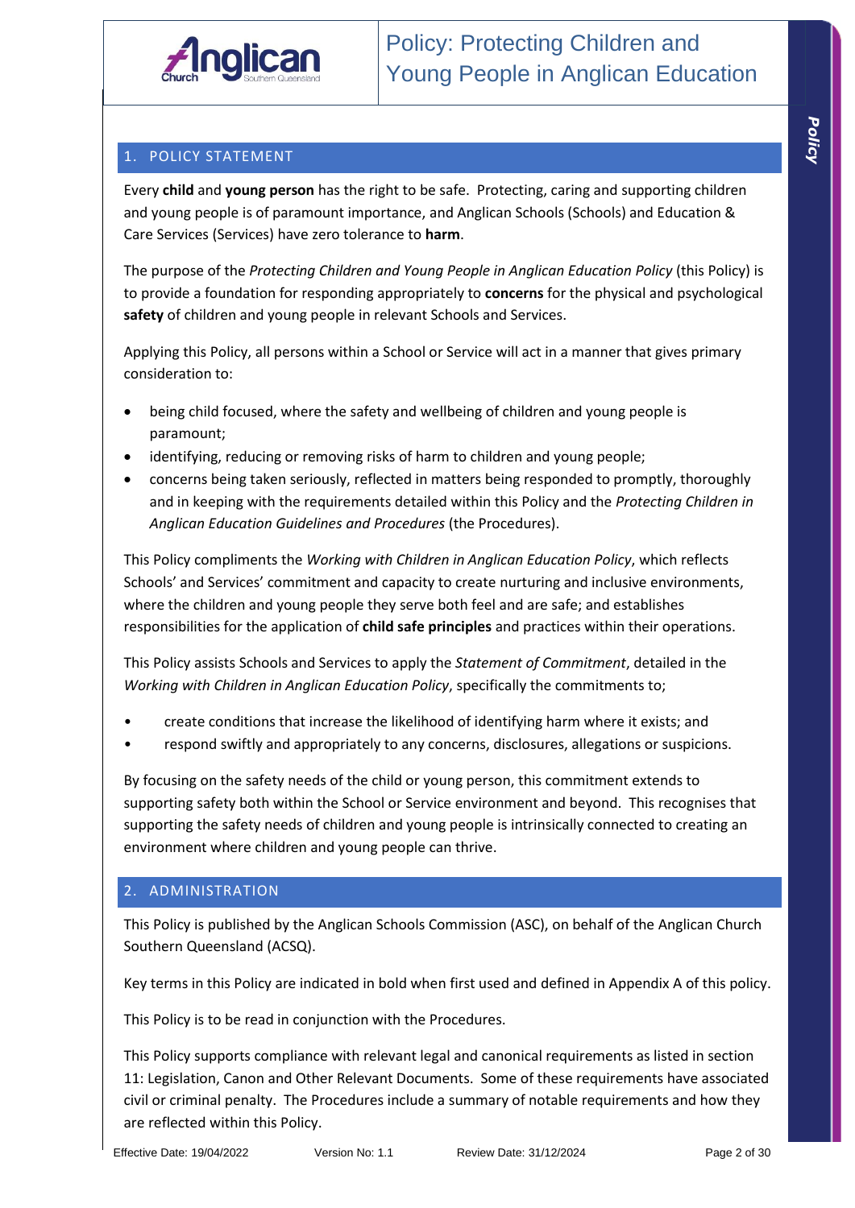## 1. POLICY STATEMENT

Every **child** and **young person** has the right to be safe. Protecting, caring and supporting children and young people is of paramount importance, and Anglican Schools (Schools) and Education & Care Services (Services) have zero tolerance to **harm**.

The purpose of the *Protecting Children and Young People in Anglican Education Policy* (this Policy) is to provide a foundation for responding appropriately to **concerns** for the physical and psychological **safety** of children and young people in relevant Schools and Services.

Applying this Policy, all persons within a School or Service will act in a manner that gives primary consideration to:

- being child focused, where the safety and wellbeing of children and young people is paramount;
- identifying, reducing or removing risks of harm to children and young people;
- concerns being taken seriously, reflected in matters being responded to promptly, thoroughly and in keeping with the requirements detailed within this Policy and the *Protecting Children in Anglican Education Guidelines and Procedures* (the Procedures).

This Policy compliments the *Working with Children in Anglican Education Policy*, which reflects Schools' and Services' commitment and capacity to create nurturing and inclusive environments, where the children and young people they serve both feel and are safe; and establishes responsibilities for the application of **child safe principles** and practices within their operations.

This Policy assists Schools and Services to apply the *Statement of Commitment*, detailed in the *Working with Children in Anglican Education Policy*, specifically the commitments to;

- create conditions that increase the likelihood of identifying harm where it exists; and
- respond swiftly and appropriately to any concerns, disclosures, allegations or suspicions.

By focusing on the safety needs of the child or young person, this commitment extends to supporting safety both within the School or Service environment and beyond. This recognises that supporting the safety needs of children and young people is intrinsically connected to creating an environment where children and young people can thrive.

#### 2. ADMINISTRATION

This Policy is published by the Anglican Schools Commission (ASC), on behalf of the Anglican Church Southern Queensland (ACSQ).

Key terms in this Policy are indicated in bold when first used and defined in Appendix A of this policy.

This Policy is to be read in conjunction with the Procedures.

This Policy supports compliance with relevant legal and canonical requirements as listed in section 11: Legislation, Canon and Other Relevant Documents. Some of these requirements have associated civil or criminal penalty. The Procedures include a summary of notable requirements and how they are reflected within this Policy.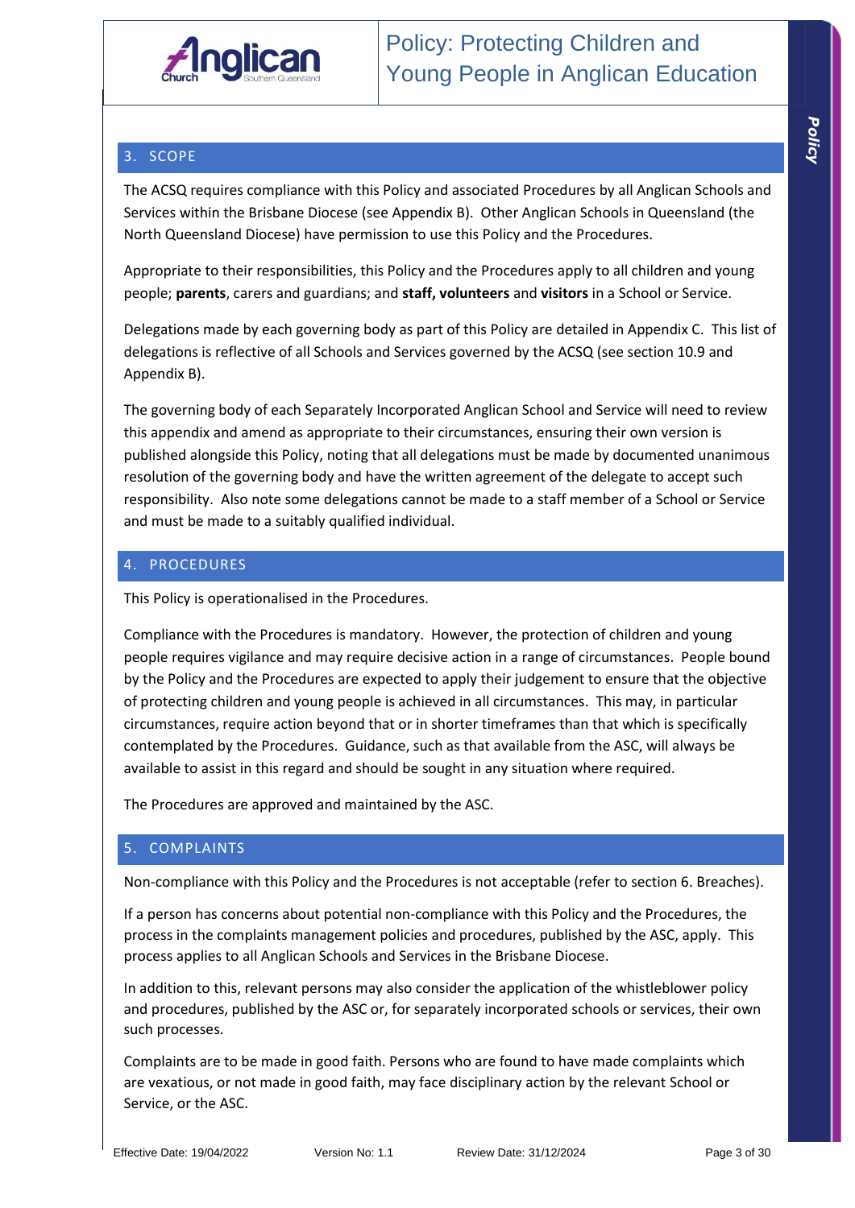

## 3. SCOPE

The ACSQ requires compliance with this Policy and associated Procedures by all Anglican Schools and Services within the Brisbane Diocese (see Appendix B). Other Anglican Schools in Queensland (the North Queensland Diocese) have permission to use this Policy and the Procedures.

Appropriate to their responsibilities, this Policy and the Procedures apply to all children and young people; **parents**, carers and guardians; and **staff, volunteers** and **visitors** in a School or Service.

Delegations made by each governing body as part of this Policy are detailed in Appendix C. This list of delegations is reflective of all Schools and Services governed by the ACSQ (see section 10.9 and Appendix B).

The governing body of each Separately Incorporated Anglican School and Service will need to review this appendix and amend as appropriate to their circumstances, ensuring their own version is published alongside this Policy, noting that all delegations must be made by documented unanimous resolution of the governing body and have the written agreement of the delegate to accept such responsibility. Also note some delegations cannot be made to a staff member of a School or Service and must be made to a suitably qualified individual.

## 4. PROCEDURES

This Policy is operationalised in the Procedures.

Compliance with the Procedures is mandatory. However, the protection of children and young people requires vigilance and may require decisive action in a range of circumstances. People bound by the Policy and the Procedures are expected to apply their judgement to ensure that the objective of protecting children and young people is achieved in all circumstances. This may, in particular circumstances, require action beyond that or in shorter timeframes than that which is specifically contemplated by the Procedures. Guidance, such as that available from the ASC, will always be available to assist in this regard and should be sought in any situation where required.

The Procedures are approved and maintained by the ASC.

#### 5. COMPLAINTS

Non-compliance with this Policy and the Procedures is not acceptable (refer to section 6. Breaches).

If a person has concerns about potential non-compliance with this Policy and the Procedures, the process in the complaints management policies and procedures, published by the ASC, apply. This process applies to all Anglican Schools and Services in the Brisbane Diocese.

In addition to this, relevant persons may also consider the application of the whistleblower policy and procedures, published by the ASC or, for separately incorporated schools or services, their own such processes.

Complaints are to be made in good faith. Persons who are found to have made complaints which are vexatious, or not made in good faith, may face disciplinary action by the relevant School or Service, or the ASC.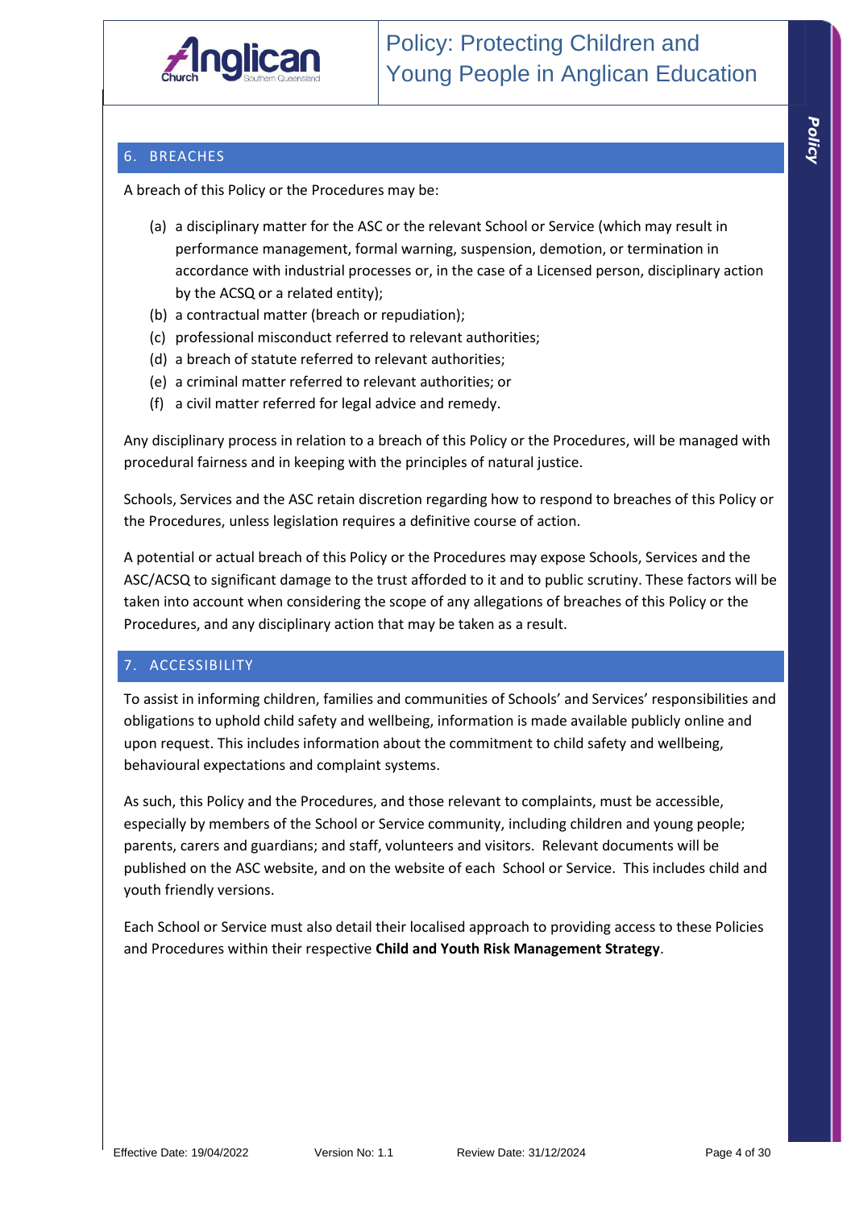

## 6. BREACHES

A breach of this Policy or the Procedures may be:

- (a) a disciplinary matter for the ASC or the relevant School or Service (which may result in performance management, formal warning, suspension, demotion, or termination in accordance with industrial processes or, in the case of a Licensed person, disciplinary action by the ACSQ or a related entity);
- (b) a contractual matter (breach or repudiation);
- (c) professional misconduct referred to relevant authorities;
- (d) a breach of statute referred to relevant authorities;
- (e) a criminal matter referred to relevant authorities; or
- (f) a civil matter referred for legal advice and remedy.

Any disciplinary process in relation to a breach of this Policy or the Procedures, will be managed with procedural fairness and in keeping with the principles of natural justice.

Schools, Services and the ASC retain discretion regarding how to respond to breaches of this Policy or the Procedures, unless legislation requires a definitive course of action.

A potential or actual breach of this Policy or the Procedures may expose Schools, Services and the ASC/ACSQ to significant damage to the trust afforded to it and to public scrutiny. These factors will be taken into account when considering the scope of any allegations of breaches of this Policy or the Procedures, and any disciplinary action that may be taken as a result.

#### 7. ACCESSIBILITY

To assist in informing children, families and communities of Schools' and Services' responsibilities and obligations to uphold child safety and wellbeing, information is made available publicly online and upon request. This includes information about the commitment to child safety and wellbeing, behavioural expectations and complaint systems.

As such, this Policy and the Procedures, and those relevant to complaints, must be accessible, especially by members of the School or Service community, including children and young people; parents, carers and guardians; and staff, volunteers and visitors. Relevant documents will be published on the ASC website, and on the website of each School or Service. This includes child and youth friendly versions.

Each School or Service must also detail their localised approach to providing access to these Policies and Procedures within their respective **Child and Youth Risk Management Strategy**.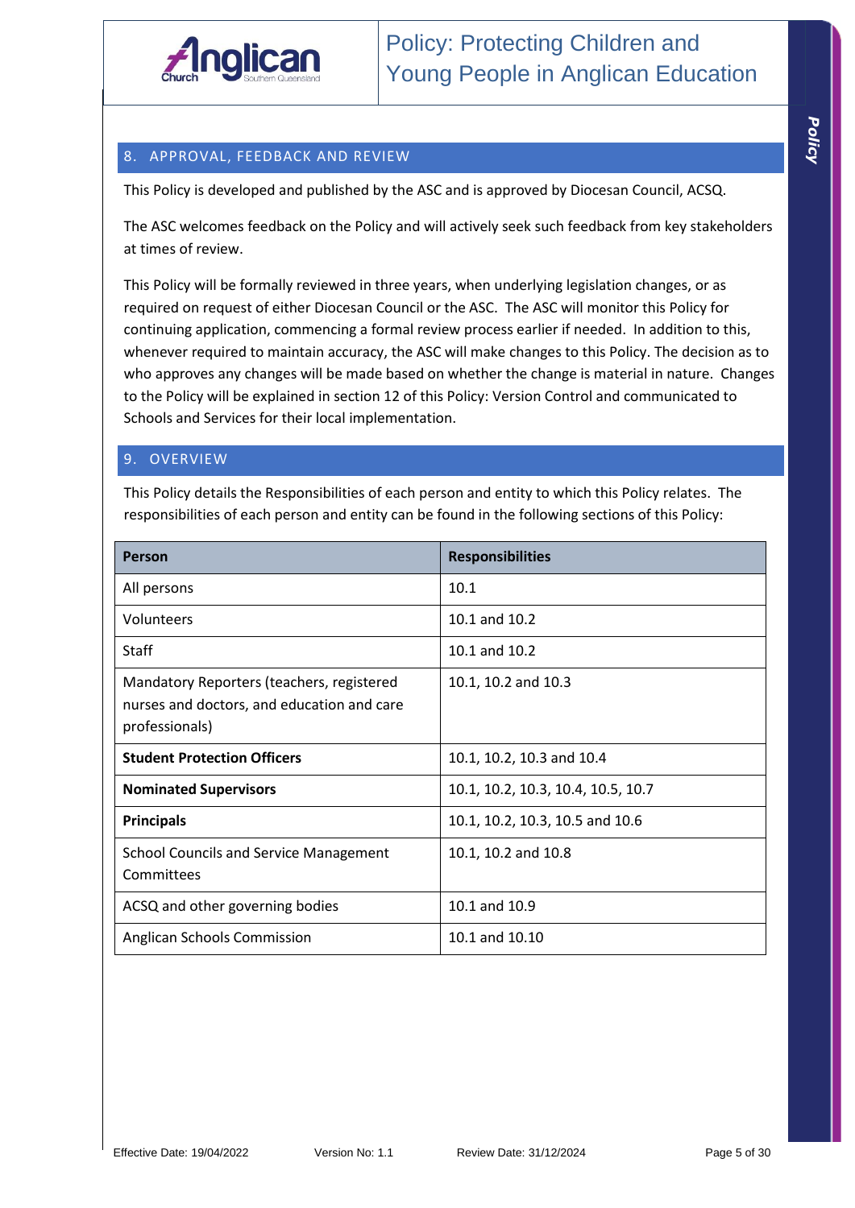

## 8. APPROVAL, FEEDBACK AND REVIEW

This Policy is developed and published by the ASC and is approved by Diocesan Council, ACSQ.

The ASC welcomes feedback on the Policy and will actively seek such feedback from key stakeholders at times of review.

This Policy will be formally reviewed in three years, when underlying legislation changes, or as required on request of either Diocesan Council or the ASC. The ASC will monitor this Policy for continuing application, commencing a formal review process earlier if needed. In addition to this, whenever required to maintain accuracy, the ASC will make changes to this Policy. The decision as to who approves any changes will be made based on whether the change is material in nature. Changes to the Policy will be explained in section 12 of this Policy: Version Control and communicated to Schools and Services for their local implementation.

## 9. OVERVIEW

This Policy details the Responsibilities of each person and entity to which this Policy relates. The responsibilities of each person and entity can be found in the following sections of this Policy:

| <b>Person</b>                                                                                             | <b>Responsibilities</b>            |
|-----------------------------------------------------------------------------------------------------------|------------------------------------|
| All persons                                                                                               | 10.1                               |
| Volunteers                                                                                                | 10.1 and 10.2                      |
| <b>Staff</b>                                                                                              | 10.1 and 10.2                      |
| Mandatory Reporters (teachers, registered<br>nurses and doctors, and education and care<br>professionals) | 10.1, 10.2 and 10.3                |
| <b>Student Protection Officers</b>                                                                        | 10.1, 10.2, 10.3 and 10.4          |
| <b>Nominated Supervisors</b>                                                                              | 10.1, 10.2, 10.3, 10.4, 10.5, 10.7 |
| <b>Principals</b>                                                                                         | 10.1, 10.2, 10.3, 10.5 and 10.6    |
| <b>School Councils and Service Management</b><br>Committees                                               | 10.1, 10.2 and 10.8                |
| ACSQ and other governing bodies                                                                           | 10.1 and 10.9                      |
| Anglican Schools Commission                                                                               | 10.1 and 10.10                     |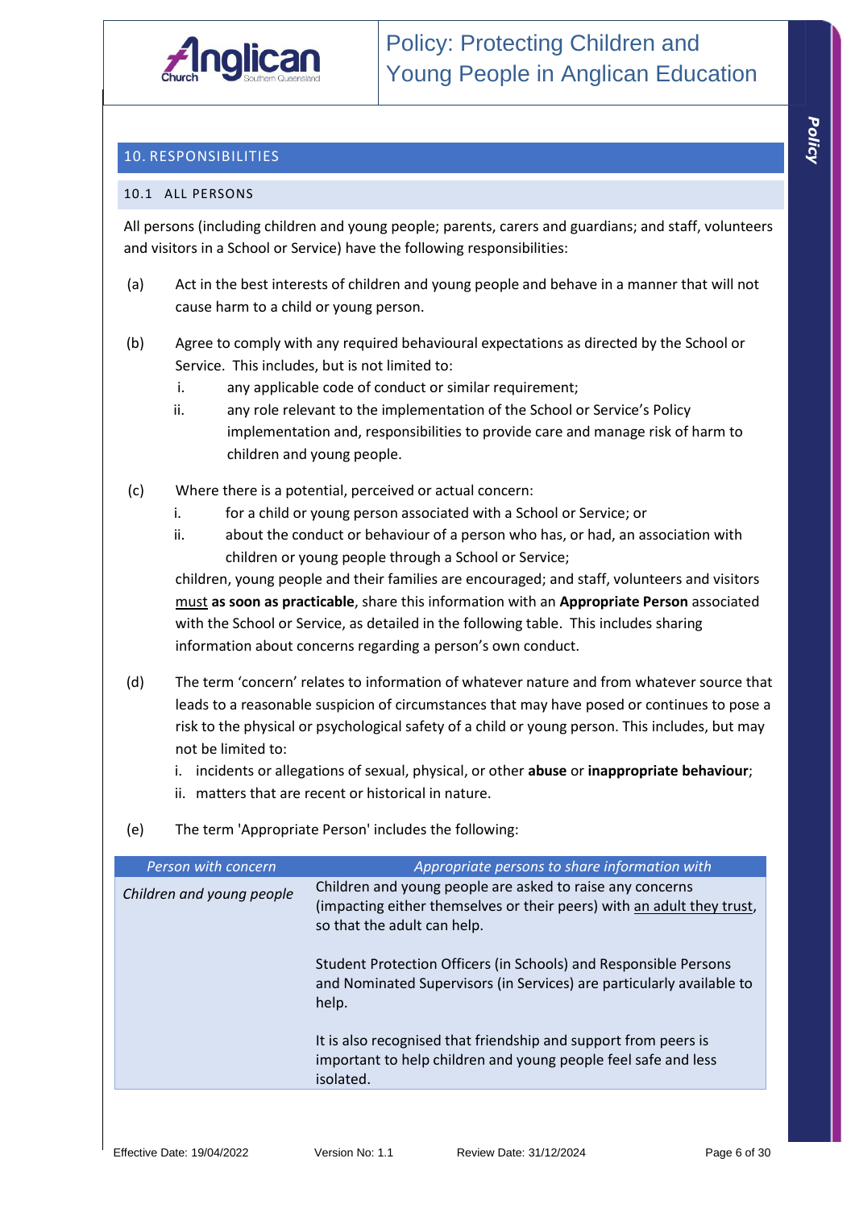

## 10. RESPONSIBILITIES

#### 10.1 ALL PERSONS

All persons (including children and young people; parents, carers and guardians; and staff, volunteers and visitors in a School or Service) have the following responsibilities:

- (a) Act in the best interests of children and young people and behave in a manner that will not cause harm to a child or young person.
- (b) Agree to comply with any required behavioural expectations as directed by the School or Service. This includes, but is not limited to:
	- i. any applicable code of conduct or similar requirement;
	- ii. any role relevant to the implementation of the School or Service's Policy implementation and, responsibilities to provide care and manage risk of harm to children and young people.
- (c) Where there is a potential, perceived or actual concern:
	- i. for a child or young person associated with a School or Service; or
	- ii. about the conduct or behaviour of a person who has, or had, an association with children or young people through a School or Service;

children, young people and their families are encouraged; and staff, volunteers and visitors must **as soon as practicable**, share this information with an **Appropriate Person** associated with the School or Service, as detailed in the following table. This includes sharing information about concerns regarding a person's own conduct.

- (d) The term 'concern' relates to information of whatever nature and from whatever source that leads to a reasonable suspicion of circumstances that may have posed or continues to pose a risk to the physical or psychological safety of a child or young person. This includes, but may not be limited to:
	- i. incidents or allegations of sexual, physical, or other **abuse** or **inappropriate behaviour**;
	- ii. matters that are recent or historical in nature.
- (e) The term 'Appropriate Person' includes the following:

| Person with concern       | Appropriate persons to share information with                                                                                                                      |
|---------------------------|--------------------------------------------------------------------------------------------------------------------------------------------------------------------|
| Children and young people | Children and young people are asked to raise any concerns<br>(impacting either themselves or their peers) with an adult they trust,<br>so that the adult can help. |
|                           | Student Protection Officers (in Schools) and Responsible Persons<br>and Nominated Supervisors (in Services) are particularly available to<br>help.                 |
|                           | It is also recognised that friendship and support from peers is<br>important to help children and young people feel safe and less<br>isolated.                     |
|                           |                                                                                                                                                                    |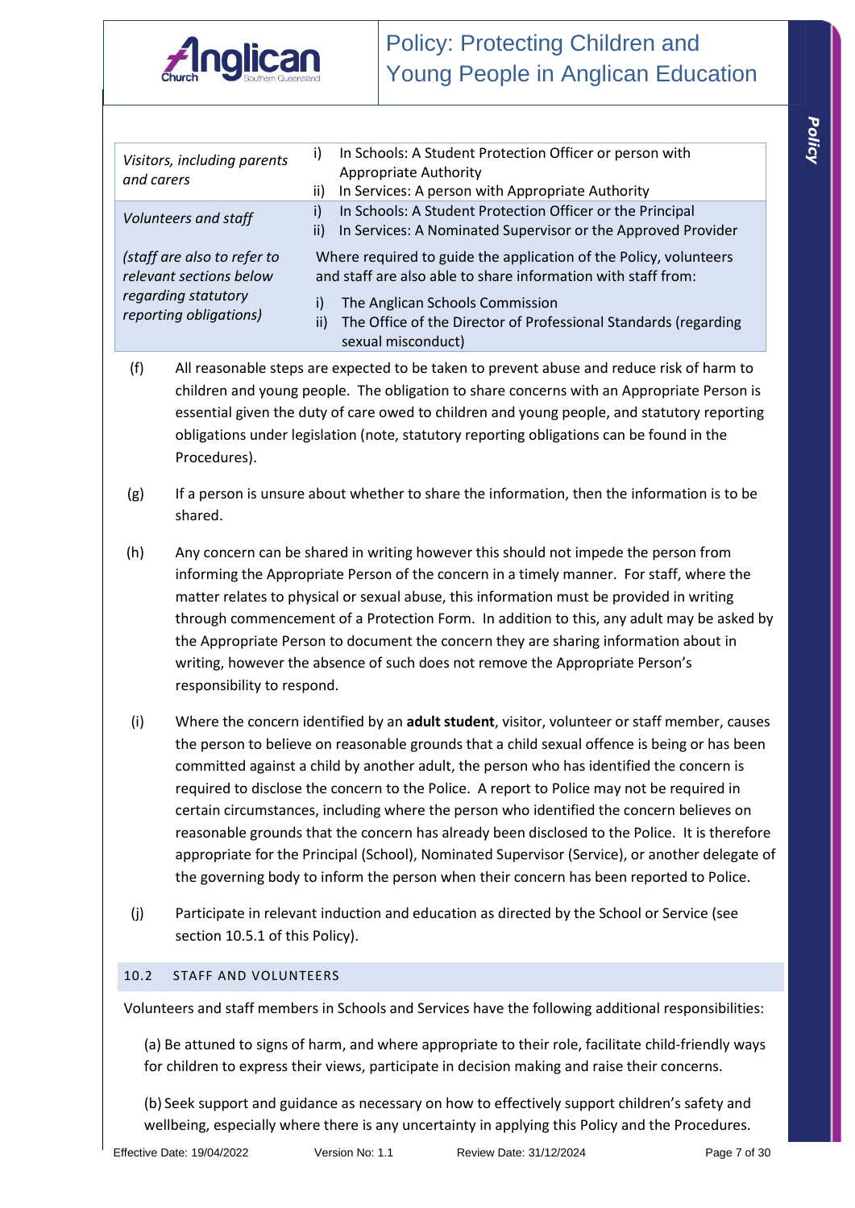

| Visitors, including parents<br>and carers              | In Schools: A Student Protection Officer or person with<br>i)<br><b>Appropriate Authority</b><br>In Services: A person with Appropriate Authority<br>ii) |
|--------------------------------------------------------|----------------------------------------------------------------------------------------------------------------------------------------------------------|
| Volunteers and staff                                   | In Schools: A Student Protection Officer or the Principal<br>i)<br>In Services: A Nominated Supervisor or the Approved Provider<br>ii)                   |
| (staff are also to refer to<br>relevant sections below | Where required to guide the application of the Policy, volunteers<br>and staff are also able to share information with staff from:                       |
| regarding statutory<br>reporting obligations)          | The Anglican Schools Commission<br>i)<br>The Office of the Director of Professional Standards (regarding<br>ii)<br>sexual misconduct)                    |

- (f) All reasonable steps are expected to be taken to prevent abuse and reduce risk of harm to children and young people. The obligation to share concerns with an Appropriate Person is essential given the duty of care owed to children and young people, and statutory reporting obligations under legislation (note, statutory reporting obligations can be found in the Procedures).
- $(g)$  If a person is unsure about whether to share the information, then the information is to be shared.
- (h) Any concern can be shared in writing however this should not impede the person from informing the Appropriate Person of the concern in a timely manner. For staff, where the matter relates to physical or sexual abuse, this information must be provided in writing through commencement of a Protection Form. In addition to this, any adult may be asked by the Appropriate Person to document the concern they are sharing information about in writing, however the absence of such does not remove the Appropriate Person's responsibility to respond.
- (i) Where the concern identified by an **adult student**, visitor, volunteer or staff member, causes the person to believe on reasonable grounds that a child sexual offence is being or has been committed against a child by another adult, the person who has identified the concern is required to disclose the concern to the Police. A report to Police may not be required in certain circumstances, including where the person who identified the concern believes on reasonable grounds that the concern has already been disclosed to the Police. It is therefore appropriate for the Principal (School), Nominated Supervisor (Service), or another delegate of the governing body to inform the person when their concern has been reported to Police.
- (j) Participate in relevant induction and education as directed by the School or Service (see section 10.5.1 of this Policy).

#### 10.2 STAFF AND VOLUNTEERS

Volunteers and staff members in Schools and Services have the following additional responsibilities:

(a) Be attuned to signs of harm, and where appropriate to their role, facilitate child-friendly ways for children to express their views, participate in decision making and raise their concerns.

(b) Seek support and guidance as necessary on how to effectively support children's safety and wellbeing, especially where there is any uncertainty in applying this Policy and the Procedures.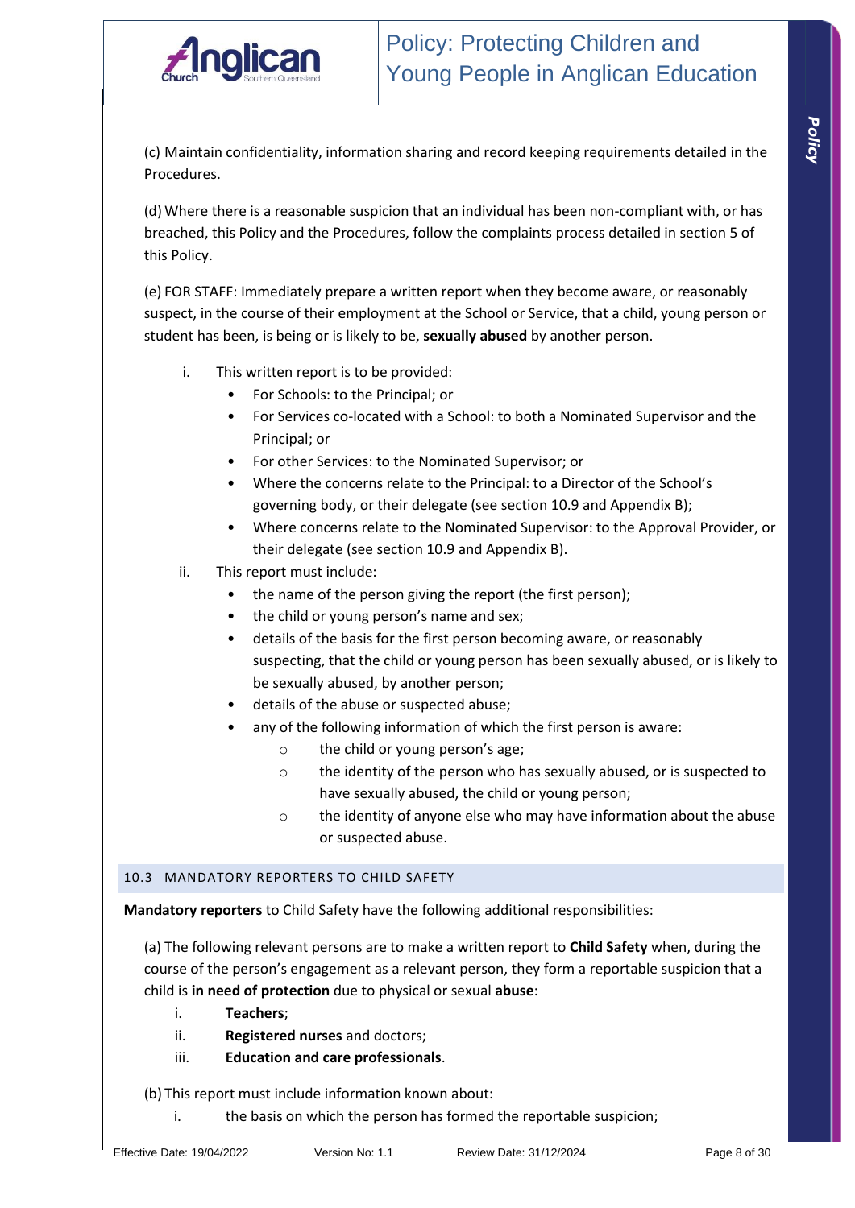(c) Maintain confidentiality, information sharing and record keeping requirements detailed in the Procedures.

(d) Where there is a reasonable suspicion that an individual has been non-compliant with, or has breached, this Policy and the Procedures, follow the complaints process detailed in section 5 of this Policy.

(e) FOR STAFF: Immediately prepare a written report when they become aware, or reasonably suspect, in the course of their employment at the School or Service, that a child, young person or student has been, is being or is likely to be, **sexually abused** by another person.

- i. This written report is to be provided:
	- For Schools: to the Principal; or
	- For Services co-located with a School: to both a Nominated Supervisor and the Principal; or
	- For other Services: to the Nominated Supervisor; or
	- Where the concerns relate to the Principal: to a Director of the School's governing body, or their delegate (see section 10.9 and Appendix B);
	- Where concerns relate to the Nominated Supervisor: to the Approval Provider, or their delegate (see section 10.9 and Appendix B).
- ii. This report must include:
	- the name of the person giving the report (the first person);
	- the child or young person's name and sex;
	- details of the basis for the first person becoming aware, or reasonably suspecting, that the child or young person has been sexually abused, or is likely to be sexually abused, by another person;
	- details of the abuse or suspected abuse;
	- any of the following information of which the first person is aware:
		- o the child or young person's age;
		- o the identity of the person who has sexually abused, or is suspected to have sexually abused, the child or young person;
		- o the identity of anyone else who may have information about the abuse or suspected abuse.

#### 10.3 MANDATORY REPORTERS TO CHILD SAFETY

**Mandatory reporters** to Child Safety have the following additional responsibilities:

(a) The following relevant persons are to make a written report to **Child Safety** when, during the course of the person's engagement as a relevant person, they form a reportable suspicion that a child is **in need of protection** due to physical or sexual **abuse**:

- i. **Teachers**;
- ii. **Registered nurses** and doctors;
- iii. **Education and care professionals**.

(b) This report must include information known about:

i. the basis on which the person has formed the reportable suspicion;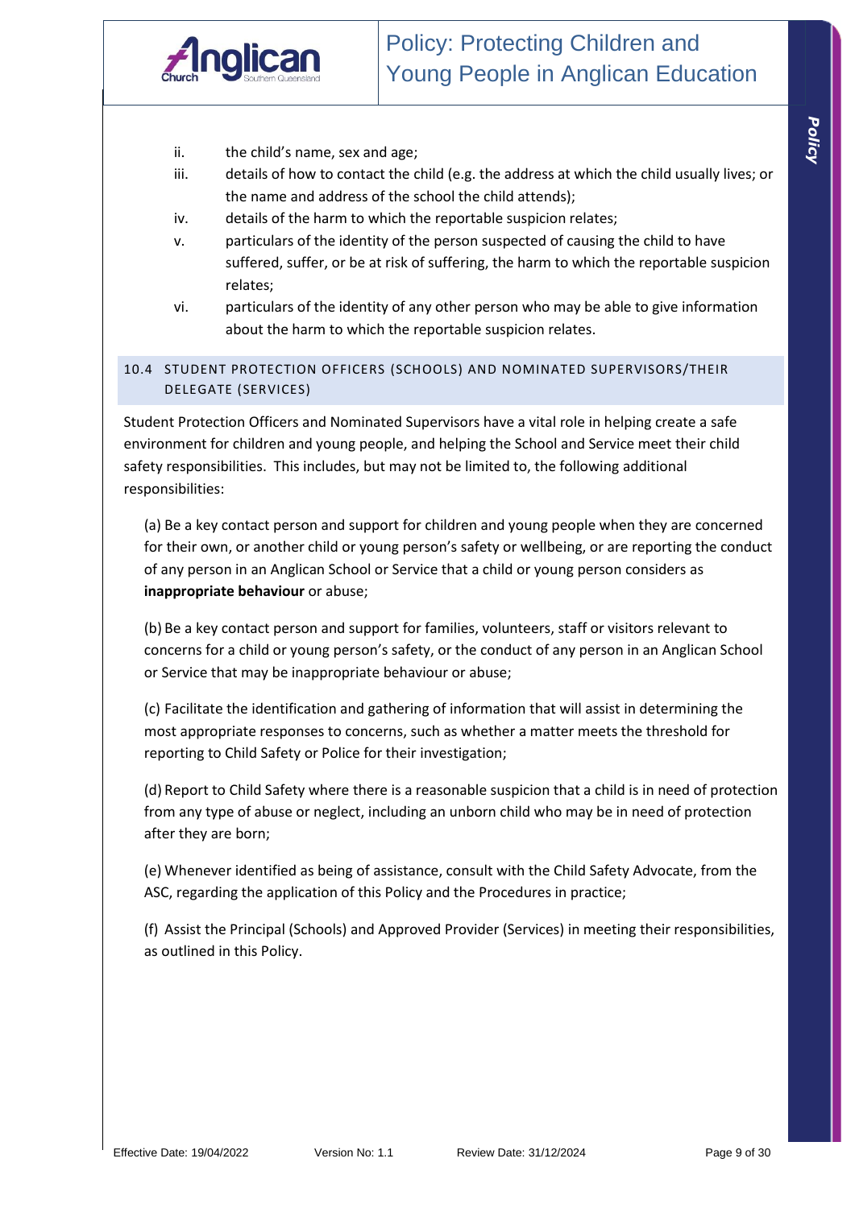

- ii. the child's name, sex and age;
- iii. details of how to contact the child (e.g. the address at which the child usually lives; or the name and address of the school the child attends);
- iv. details of the harm to which the reportable suspicion relates;
- v. particulars of the identity of the person suspected of causing the child to have suffered, suffer, or be at risk of suffering, the harm to which the reportable suspicion relates;
- vi. particulars of the identity of any other person who may be able to give information about the harm to which the reportable suspicion relates.

#### 10.4 STUDENT PROTECTION OFFICERS (SCHOOLS) AND NOMINATED SUPERVISORS/THEIR DELEGATE (SERVICES)

Student Protection Officers and Nominated Supervisors have a vital role in helping create a safe environment for children and young people, and helping the School and Service meet their child safety responsibilities. This includes, but may not be limited to, the following additional responsibilities:

(a) Be a key contact person and support for children and young people when they are concerned for their own, or another child or young person's safety or wellbeing, or are reporting the conduct of any person in an Anglican School or Service that a child or young person considers as **inappropriate behaviour** or abuse;

(b) Be a key contact person and support for families, volunteers, staff or visitors relevant to concerns for a child or young person's safety, or the conduct of any person in an Anglican School or Service that may be inappropriate behaviour or abuse;

(c) Facilitate the identification and gathering of information that will assist in determining the most appropriate responses to concerns, such as whether a matter meets the threshold for reporting to Child Safety or Police for their investigation;

(d) Report to Child Safety where there is a reasonable suspicion that a child is in need of protection from any type of abuse or neglect, including an unborn child who may be in need of protection after they are born;

(e) Whenever identified as being of assistance, consult with the Child Safety Advocate, from the ASC, regarding the application of this Policy and the Procedures in practice;

(f) Assist the Principal (Schools) and Approved Provider (Services) in meeting their responsibilities, as outlined in this Policy.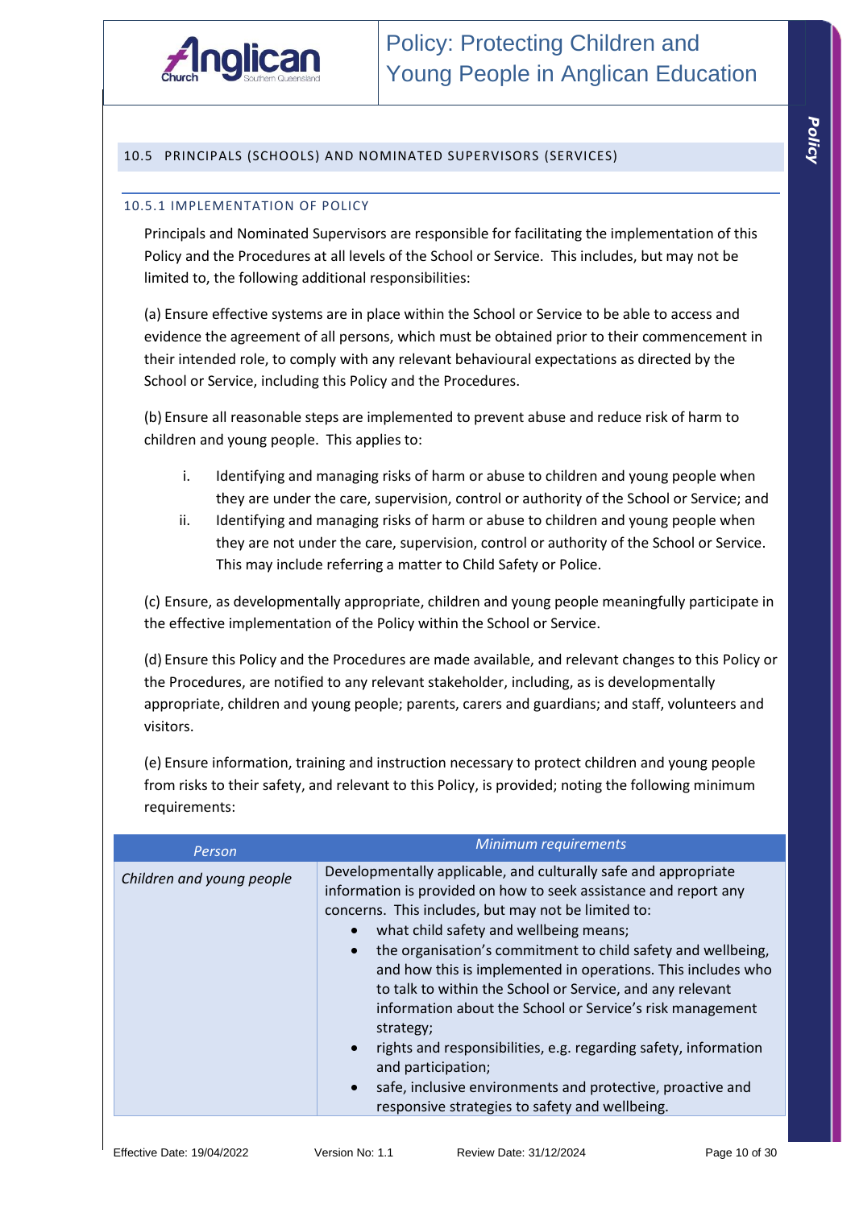

#### 10.5 PRINCIPALS (SCHOOLS) AND NOMINATED SUPERVISORS (SERVICES)

#### 10.5.1 IMPLEMENTATION OF POLICY

Principals and Nominated Supervisors are responsible for facilitating the implementation of this Policy and the Procedures at all levels of the School or Service. This includes, but may not be limited to, the following additional responsibilities:

(a) Ensure effective systems are in place within the School or Service to be able to access and evidence the agreement of all persons, which must be obtained prior to their commencement in their intended role, to comply with any relevant behavioural expectations as directed by the School or Service, including this Policy and the Procedures.

(b) Ensure all reasonable steps are implemented to prevent abuse and reduce risk of harm to children and young people. This applies to:

- i. Identifying and managing risks of harm or abuse to children and young people when they are under the care, supervision, control or authority of the School or Service; and
- ii. Identifying and managing risks of harm or abuse to children and young people when they are not under the care, supervision, control or authority of the School or Service. This may include referring a matter to Child Safety or Police.

(c) Ensure, as developmentally appropriate, children and young people meaningfully participate in the effective implementation of the Policy within the School or Service.

(d) Ensure this Policy and the Procedures are made available, and relevant changes to this Policy or the Procedures, are notified to any relevant stakeholder, including, as is developmentally appropriate, children and young people; parents, carers and guardians; and staff, volunteers and visitors.

(e) Ensure information, training and instruction necessary to protect children and young people from risks to their safety, and relevant to this Policy, is provided; noting the following minimum requirements:

| Person                    | Minimum requirements                                                                                                                                                                                                                                                                                                                                                                                                                                                                                                                                                                                                                                                                                                                                                     |
|---------------------------|--------------------------------------------------------------------------------------------------------------------------------------------------------------------------------------------------------------------------------------------------------------------------------------------------------------------------------------------------------------------------------------------------------------------------------------------------------------------------------------------------------------------------------------------------------------------------------------------------------------------------------------------------------------------------------------------------------------------------------------------------------------------------|
| Children and young people | Developmentally applicable, and culturally safe and appropriate<br>information is provided on how to seek assistance and report any<br>concerns. This includes, but may not be limited to:<br>what child safety and wellbeing means;<br>$\bullet$<br>the organisation's commitment to child safety and wellbeing,<br>$\bullet$<br>and how this is implemented in operations. This includes who<br>to talk to within the School or Service, and any relevant<br>information about the School or Service's risk management<br>strategy;<br>rights and responsibilities, e.g. regarding safety, information<br>$\bullet$<br>and participation;<br>safe, inclusive environments and protective, proactive and<br>$\bullet$<br>responsive strategies to safety and wellbeing. |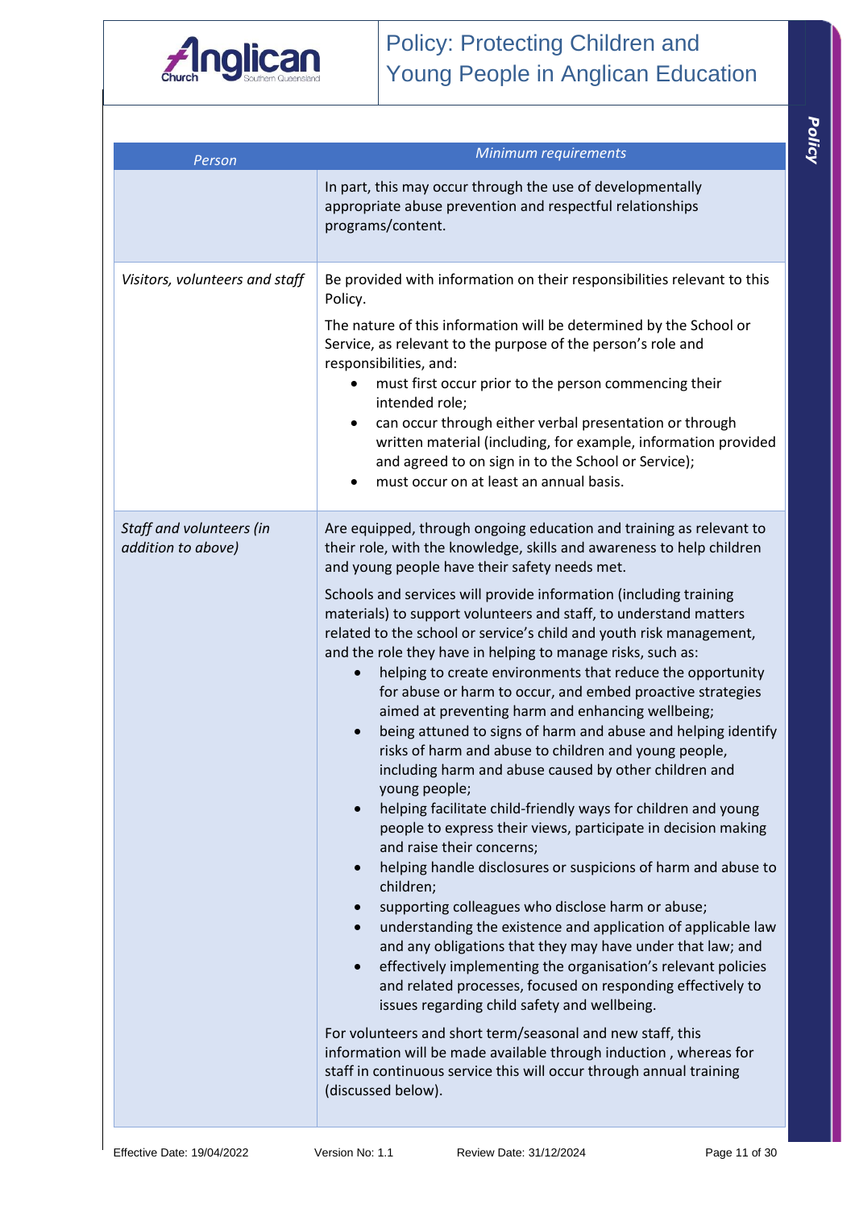

| Person                                         | Minimum requirements                                                                                                                                                                                                                                                                                                                                                                                                                                                                                                                                                                                                                                                                                                                                                                                                                                                                                                                                                                                                                                                                                                                                                                                                                                                                                                                                                                                                                                                                                                                                                                                                                                                                                                                                                                              |
|------------------------------------------------|---------------------------------------------------------------------------------------------------------------------------------------------------------------------------------------------------------------------------------------------------------------------------------------------------------------------------------------------------------------------------------------------------------------------------------------------------------------------------------------------------------------------------------------------------------------------------------------------------------------------------------------------------------------------------------------------------------------------------------------------------------------------------------------------------------------------------------------------------------------------------------------------------------------------------------------------------------------------------------------------------------------------------------------------------------------------------------------------------------------------------------------------------------------------------------------------------------------------------------------------------------------------------------------------------------------------------------------------------------------------------------------------------------------------------------------------------------------------------------------------------------------------------------------------------------------------------------------------------------------------------------------------------------------------------------------------------------------------------------------------------------------------------------------------------|
|                                                | In part, this may occur through the use of developmentally<br>appropriate abuse prevention and respectful relationships<br>programs/content.                                                                                                                                                                                                                                                                                                                                                                                                                                                                                                                                                                                                                                                                                                                                                                                                                                                                                                                                                                                                                                                                                                                                                                                                                                                                                                                                                                                                                                                                                                                                                                                                                                                      |
| Visitors, volunteers and staff                 | Be provided with information on their responsibilities relevant to this<br>Policy.<br>The nature of this information will be determined by the School or<br>Service, as relevant to the purpose of the person's role and<br>responsibilities, and:<br>must first occur prior to the person commencing their<br>٠<br>intended role;<br>can occur through either verbal presentation or through<br>٠<br>written material (including, for example, information provided<br>and agreed to on sign in to the School or Service);<br>must occur on at least an annual basis.                                                                                                                                                                                                                                                                                                                                                                                                                                                                                                                                                                                                                                                                                                                                                                                                                                                                                                                                                                                                                                                                                                                                                                                                                            |
| Staff and volunteers (in<br>addition to above) | Are equipped, through ongoing education and training as relevant to<br>their role, with the knowledge, skills and awareness to help children<br>and young people have their safety needs met.<br>Schools and services will provide information (including training<br>materials) to support volunteers and staff, to understand matters<br>related to the school or service's child and youth risk management,<br>and the role they have in helping to manage risks, such as:<br>helping to create environments that reduce the opportunity<br>$\bullet$<br>for abuse or harm to occur, and embed proactive strategies<br>aimed at preventing harm and enhancing wellbeing;<br>being attuned to signs of harm and abuse and helping identify<br>$\bullet$<br>risks of harm and abuse to children and young people,<br>including harm and abuse caused by other children and<br>young people;<br>helping facilitate child-friendly ways for children and young<br>people to express their views, participate in decision making<br>and raise their concerns;<br>helping handle disclosures or suspicions of harm and abuse to<br>$\bullet$<br>children;<br>supporting colleagues who disclose harm or abuse;<br>$\bullet$<br>understanding the existence and application of applicable law<br>$\bullet$<br>and any obligations that they may have under that law; and<br>effectively implementing the organisation's relevant policies<br>$\bullet$<br>and related processes, focused on responding effectively to<br>issues regarding child safety and wellbeing.<br>For volunteers and short term/seasonal and new staff, this<br>information will be made available through induction, whereas for<br>staff in continuous service this will occur through annual training<br>(discussed below). |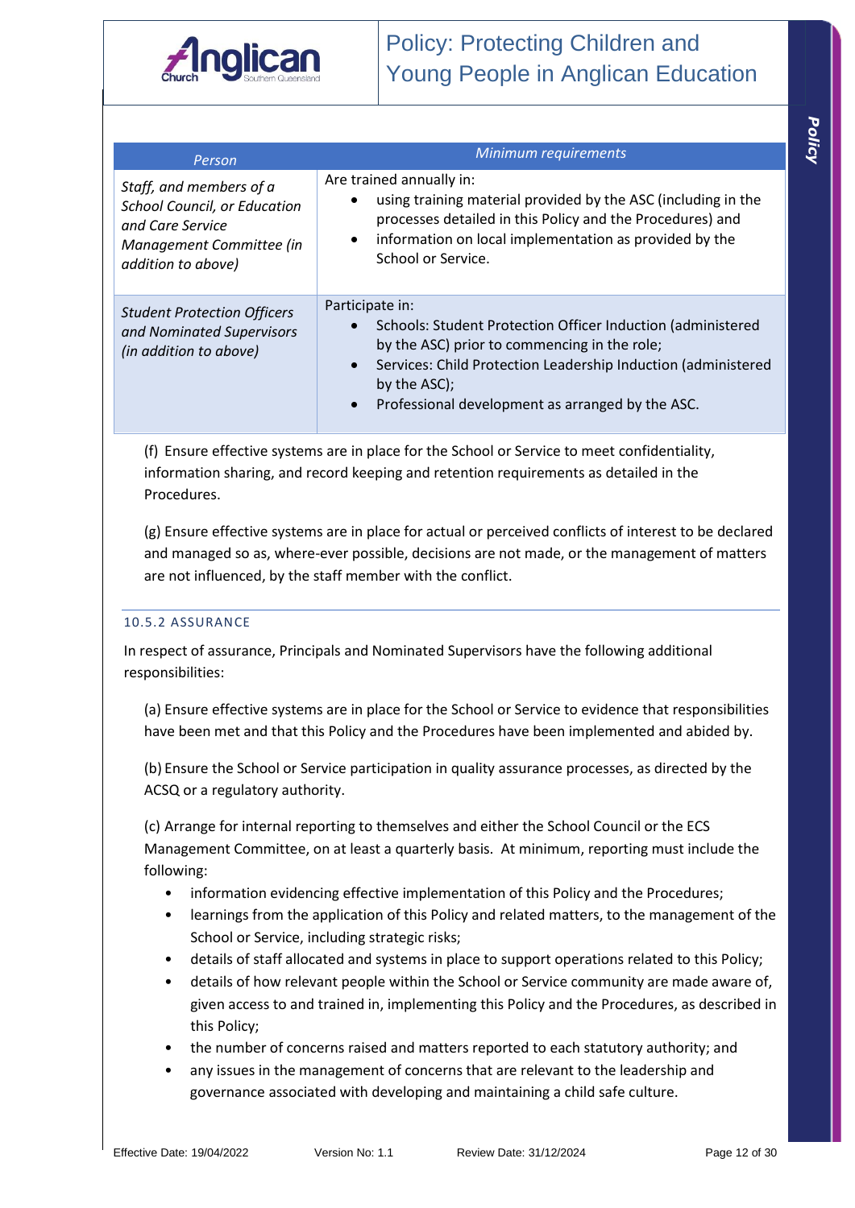

| × |
|---|
|   |
| ۱ |
|   |

| Person                                                                                                                               | Minimum requirements                                                                                                                                                                                                                                                             |
|--------------------------------------------------------------------------------------------------------------------------------------|----------------------------------------------------------------------------------------------------------------------------------------------------------------------------------------------------------------------------------------------------------------------------------|
| Staff, and members of a<br><b>School Council, or Education</b><br>and Care Service<br>Management Committee (in<br>addition to above) | Are trained annually in:<br>using training material provided by the ASC (including in the<br>$\bullet$<br>processes detailed in this Policy and the Procedures) and<br>information on local implementation as provided by the<br>$\bullet$<br>School or Service.                 |
| <b>Student Protection Officers</b><br>and Nominated Supervisors<br>(in addition to above)                                            | Participate in:<br>Schools: Student Protection Officer Induction (administered<br>by the ASC) prior to commencing in the role;<br>Services: Child Protection Leadership Induction (administered<br>$\bullet$<br>by the ASC);<br>Professional development as arranged by the ASC. |

(f) Ensure effective systems are in place for the School or Service to meet confidentiality, information sharing, and record keeping and retention requirements as detailed in the Procedures.

(g) Ensure effective systems are in place for actual or perceived conflicts of interest to be declared and managed so as, where-ever possible, decisions are not made, or the management of matters are not influenced, by the staff member with the conflict.

#### 10.5.2 ASSURANCE

In respect of assurance, Principals and Nominated Supervisors have the following additional responsibilities:

(a) Ensure effective systems are in place for the School or Service to evidence that responsibilities have been met and that this Policy and the Procedures have been implemented and abided by.

(b) Ensure the School or Service participation in quality assurance processes, as directed by the ACSQ or a regulatory authority.

(c) Arrange for internal reporting to themselves and either the School Council or the ECS Management Committee, on at least a quarterly basis. At minimum, reporting must include the following:

- information evidencing effective implementation of this Policy and the Procedures;
- learnings from the application of this Policy and related matters, to the management of the School or Service, including strategic risks;
- details of staff allocated and systems in place to support operations related to this Policy;
- details of how relevant people within the School or Service community are made aware of, given access to and trained in, implementing this Policy and the Procedures, as described in this Policy;
- the number of concerns raised and matters reported to each statutory authority; and
- any issues in the management of concerns that are relevant to the leadership and governance associated with developing and maintaining a child safe culture.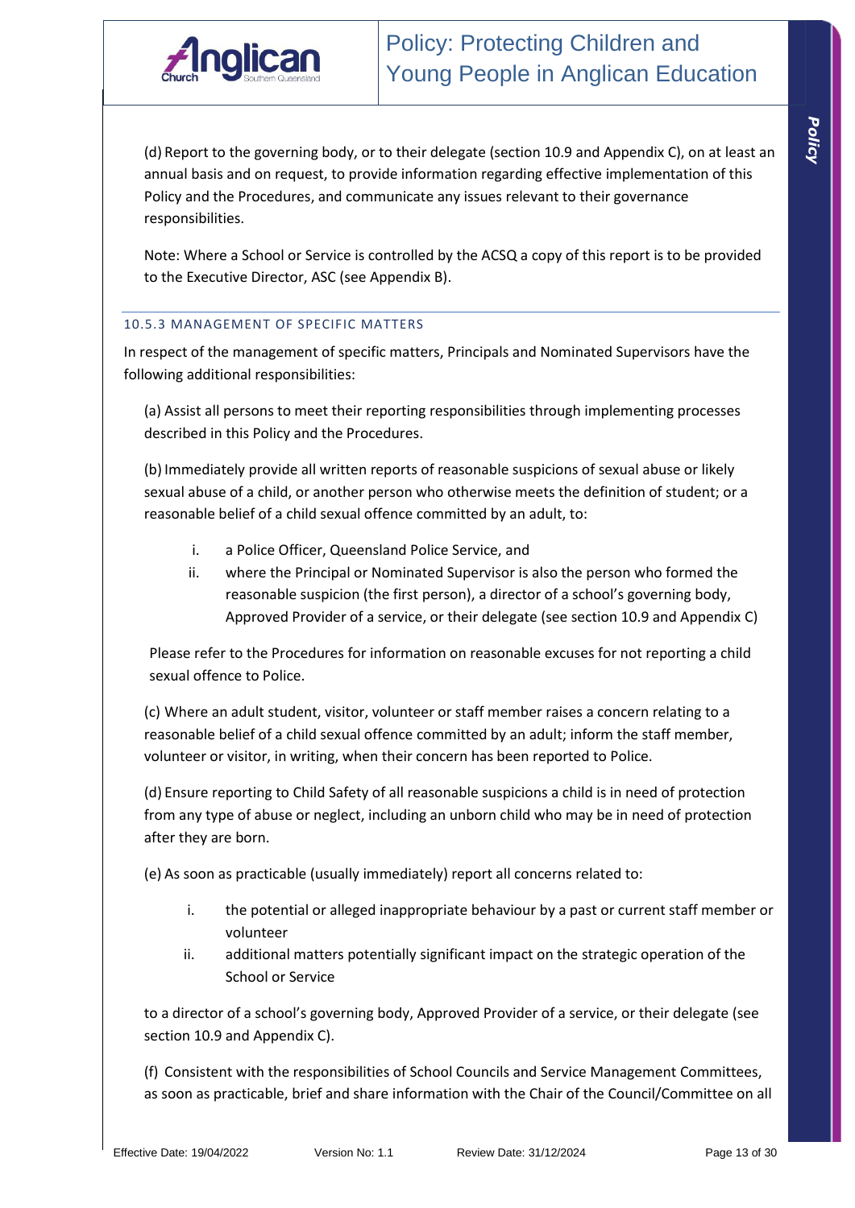

(d) Report to the governing body, or to their delegate (section 10.9 and Appendix C), on at least an annual basis and on request, to provide information regarding effective implementation of this Policy and the Procedures, and communicate any issues relevant to their governance responsibilities.

Note: Where a School or Service is controlled by the ACSQ a copy of this report is to be provided to the Executive Director, ASC (see Appendix B).

#### 10.5.3 MANAGEMENT OF SPECIFIC MATTERS

In respect of the management of specific matters, Principals and Nominated Supervisors have the following additional responsibilities:

(a) Assist all persons to meet their reporting responsibilities through implementing processes described in this Policy and the Procedures.

(b) Immediately provide all written reports of reasonable suspicions of sexual abuse or likely sexual abuse of a child, or another person who otherwise meets the definition of student; or a reasonable belief of a child sexual offence committed by an adult, to:

- i. a Police Officer, Queensland Police Service, and
- ii. where the Principal or Nominated Supervisor is also the person who formed the reasonable suspicion (the first person), a director of a school's governing body, Approved Provider of a service, or their delegate (see section 10.9 and Appendix C)

Please refer to the Procedures for information on reasonable excuses for not reporting a child sexual offence to Police.

(c) Where an adult student, visitor, volunteer or staff member raises a concern relating to a reasonable belief of a child sexual offence committed by an adult; inform the staff member, volunteer or visitor, in writing, when their concern has been reported to Police.

(d) Ensure reporting to Child Safety of all reasonable suspicions a child is in need of protection from any type of abuse or neglect, including an unborn child who may be in need of protection after they are born.

(e) As soon as practicable (usually immediately) report all concerns related to:

- i. the potential or alleged inappropriate behaviour by a past or current staff member or volunteer
- ii. additional matters potentially significant impact on the strategic operation of the School or Service

to a director of a school's governing body, Approved Provider of a service, or their delegate (see section 10.9 and Appendix C).

(f) Consistent with the responsibilities of School Councils and Service Management Committees, as soon as practicable, brief and share information with the Chair of the Council/Committee on all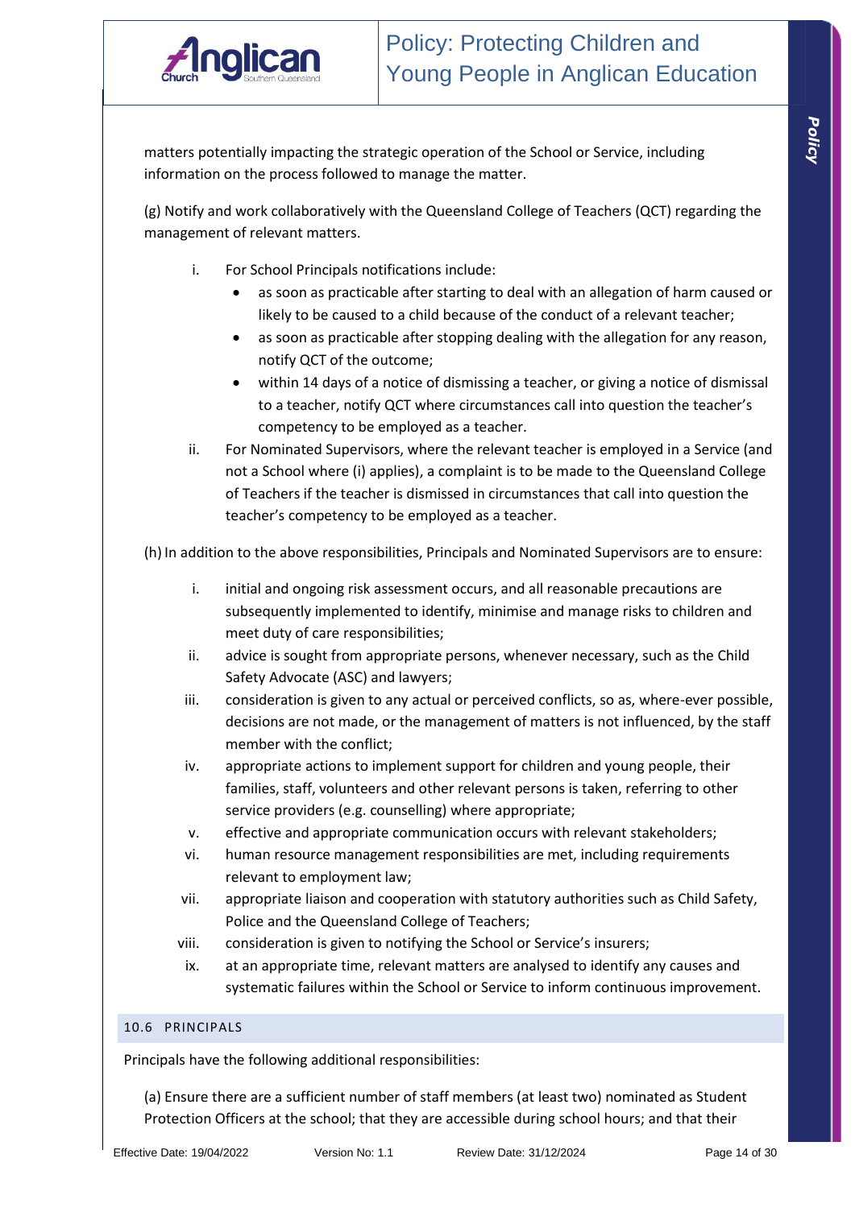

matters potentially impacting the strategic operation of the School or Service, including information on the process followed to manage the matter.

(g) Notify and work collaboratively with the Queensland College of Teachers (QCT) regarding the management of relevant matters.

- i. For School Principals notifications include:
	- as soon as practicable after starting to deal with an allegation of harm caused or likely to be caused to a child because of the conduct of a relevant teacher;
	- as soon as practicable after stopping dealing with the allegation for any reason, notify QCT of the outcome;
	- within 14 days of a notice of dismissing a teacher, or giving a notice of dismissal to a teacher, notify QCT where circumstances call into question the teacher's competency to be employed as a teacher.
- ii. For Nominated Supervisors, where the relevant teacher is employed in a Service (and not a School where (i) applies), a complaint is to be made to the Queensland College of Teachers if the teacher is dismissed in circumstances that call into question the teacher's competency to be employed as a teacher.

(h) In addition to the above responsibilities, Principals and Nominated Supervisors are to ensure:

- i. initial and ongoing risk assessment occurs, and all reasonable precautions are subsequently implemented to identify, minimise and manage risks to children and meet duty of care responsibilities;
- ii. advice is sought from appropriate persons, whenever necessary, such as the Child Safety Advocate (ASC) and lawyers;
- iii. consideration is given to any actual or perceived conflicts, so as, where-ever possible, decisions are not made, or the management of matters is not influenced, by the staff member with the conflict;
- iv. appropriate actions to implement support for children and young people, their families, staff, volunteers and other relevant persons is taken, referring to other service providers (e.g. counselling) where appropriate;
- v. effective and appropriate communication occurs with relevant stakeholders;
- vi. human resource management responsibilities are met, including requirements relevant to employment law;
- vii. appropriate liaison and cooperation with statutory authorities such as Child Safety, Police and the Queensland College of Teachers;
- viii. consideration is given to notifying the School or Service's insurers;
- ix. at an appropriate time, relevant matters are analysed to identify any causes and systematic failures within the School or Service to inform continuous improvement.

#### 10.6 PRINCIPALS

Principals have the following additional responsibilities:

(a) Ensure there are a sufficient number of staff members (at least two) nominated as Student Protection Officers at the school; that they are accessible during school hours; and that their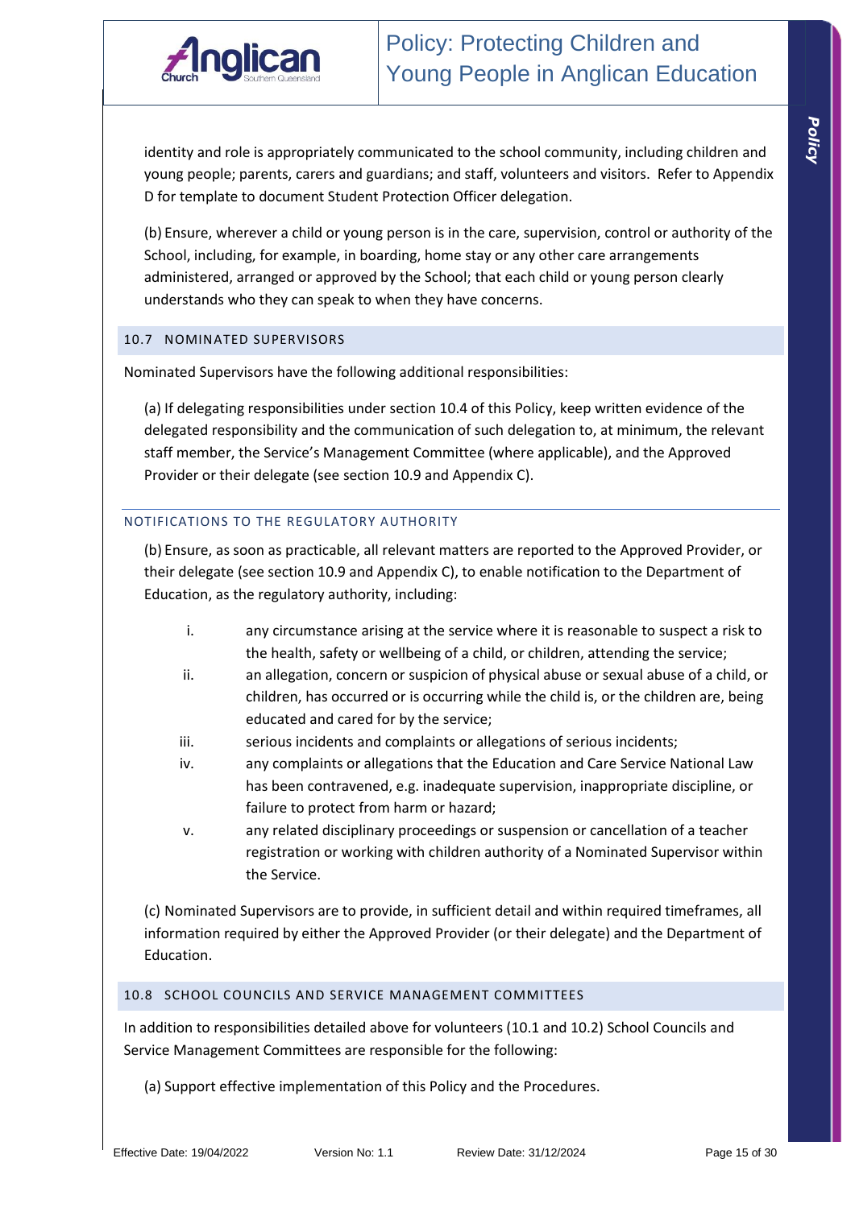

identity and role is appropriately communicated to the school community, including children and young people; parents, carers and guardians; and staff, volunteers and visitors. Refer to Appendix D for template to document Student Protection Officer delegation.

(b) Ensure, wherever a child or young person is in the care, supervision, control or authority of the School, including, for example, in boarding, home stay or any other care arrangements administered, arranged or approved by the School; that each child or young person clearly understands who they can speak to when they have concerns.

#### 10.7 NOMINATED SUPERVISORS

Nominated Supervisors have the following additional responsibilities:

(a) If delegating responsibilities under section 10.4 of this Policy, keep written evidence of the delegated responsibility and the communication of such delegation to, at minimum, the relevant staff member, the Service's Management Committee (where applicable), and the Approved Provider or their delegate (see section 10.9 and Appendix C).

#### NOTIFICATIONS TO THE REGULATORY AUTHORITY

(b) Ensure, as soon as practicable, all relevant matters are reported to the Approved Provider, or their delegate (see section 10.9 and Appendix C), to enable notification to the Department of Education, as the regulatory authority, including:

- i. any circumstance arising at the service where it is reasonable to suspect a risk to the health, safety or wellbeing of a child, or children, attending the service;
- ii. an allegation, concern or suspicion of physical abuse or sexual abuse of a child, or children, has occurred or is occurring while the child is, or the children are, being educated and cared for by the service;
- iii. serious incidents and complaints or allegations of serious incidents;
- iv. any complaints or allegations that the Education and Care Service National Law has been contravened, e.g. inadequate supervision, inappropriate discipline, or failure to protect from harm or hazard;
- v. any related disciplinary proceedings or suspension or cancellation of a teacher registration or working with children authority of a Nominated Supervisor within the Service.

(c) Nominated Supervisors are to provide, in sufficient detail and within required timeframes, all information required by either the Approved Provider (or their delegate) and the Department of Education.

#### 10.8 SCHOOL COUNCILS AND SERVICE MANAGEMENT COMMITTEES

In addition to responsibilities detailed above for volunteers (10.1 and 10.2) School Councils and Service Management Committees are responsible for the following:

(a) Support effective implementation of this Policy and the Procedures.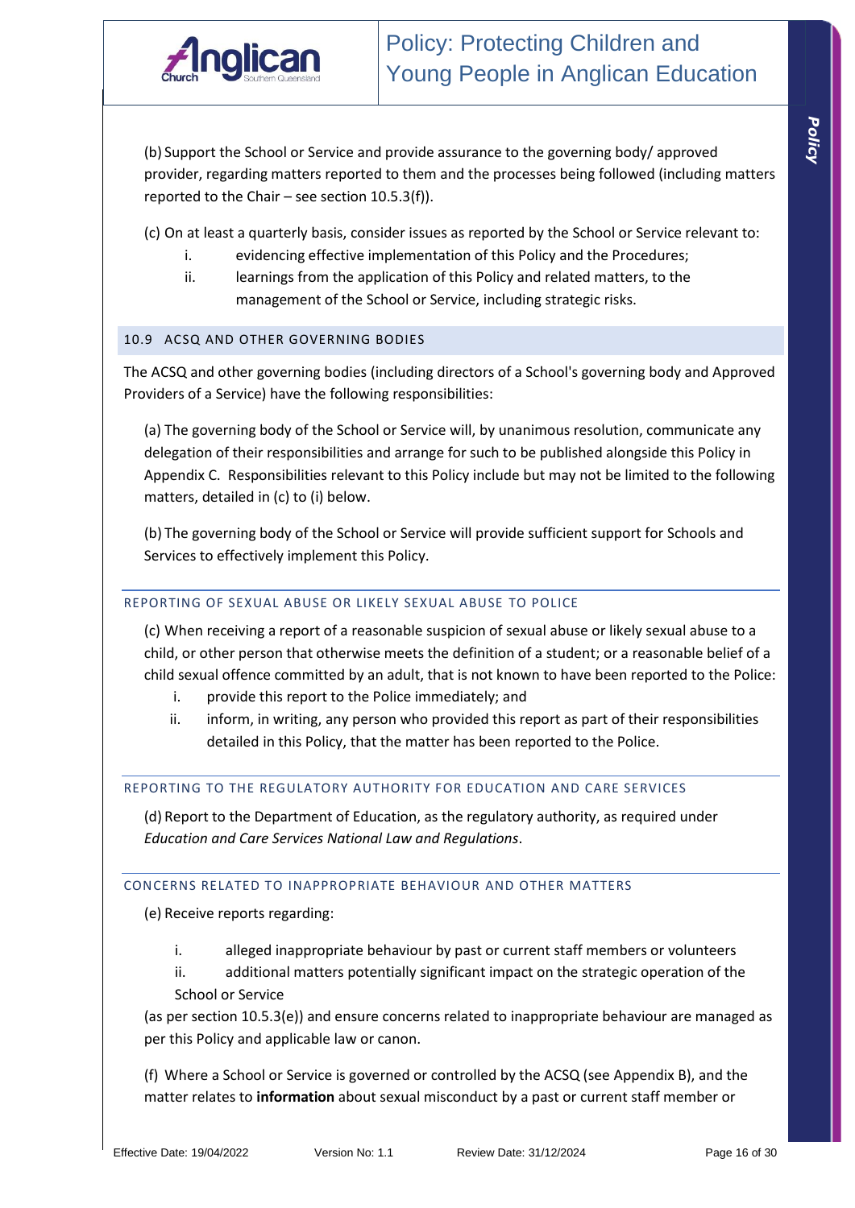

(b) Support the School or Service and provide assurance to the governing body/ approved provider, regarding matters reported to them and the processes being followed (including matters reported to the Chair – see section 10.5.3(f)).

(c) On at least a quarterly basis, consider issues as reported by the School or Service relevant to:

- i. evidencing effective implementation of this Policy and the Procedures;
- ii. learnings from the application of this Policy and related matters, to the management of the School or Service, including strategic risks.

#### 10.9 ACSQ AND OTHER GOVERNING BODIES

The ACSQ and other governing bodies (including directors of a School's governing body and Approved Providers of a Service) have the following responsibilities:

(a) The governing body of the School or Service will, by unanimous resolution, communicate any delegation of their responsibilities and arrange for such to be published alongside this Policy in Appendix C. Responsibilities relevant to this Policy include but may not be limited to the following matters, detailed in (c) to (i) below.

(b) The governing body of the School or Service will provide sufficient support for Schools and Services to effectively implement this Policy.

#### REPORTING OF SEXUAL ABUSE OR LIKELY SEXUAL ABUSE TO POLICE

(c) When receiving a report of a reasonable suspicion of sexual abuse or likely sexual abuse to a child, or other person that otherwise meets the definition of a student; or a reasonable belief of a child sexual offence committed by an adult, that is not known to have been reported to the Police:

- i. provide this report to the Police immediately; and
- ii. inform, in writing, any person who provided this report as part of their responsibilities detailed in this Policy, that the matter has been reported to the Police.

#### REPORTING TO THE REGULATORY AUTHORITY FOR EDUCATION AND CARE SERVICES

(d) Report to the Department of Education, as the regulatory authority, as required under *Education and Care Services National Law and Regulations*.

#### CONCERNS RELATED TO INAPPROPRIATE BEHAVIOUR AND OTHER MATTERS

(e) Receive reports regarding:

- i. alleged inappropriate behaviour by past or current staff members or volunteers
- ii. additional matters potentially significant impact on the strategic operation of the School or Service

(as per section 10.5.3(e)) and ensure concerns related to inappropriate behaviour are managed as per this Policy and applicable law or canon.

(f) Where a School or Service is governed or controlled by the ACSQ (see Appendix B), and the matter relates to **information** about sexual misconduct by a past or current staff member or

*Policy*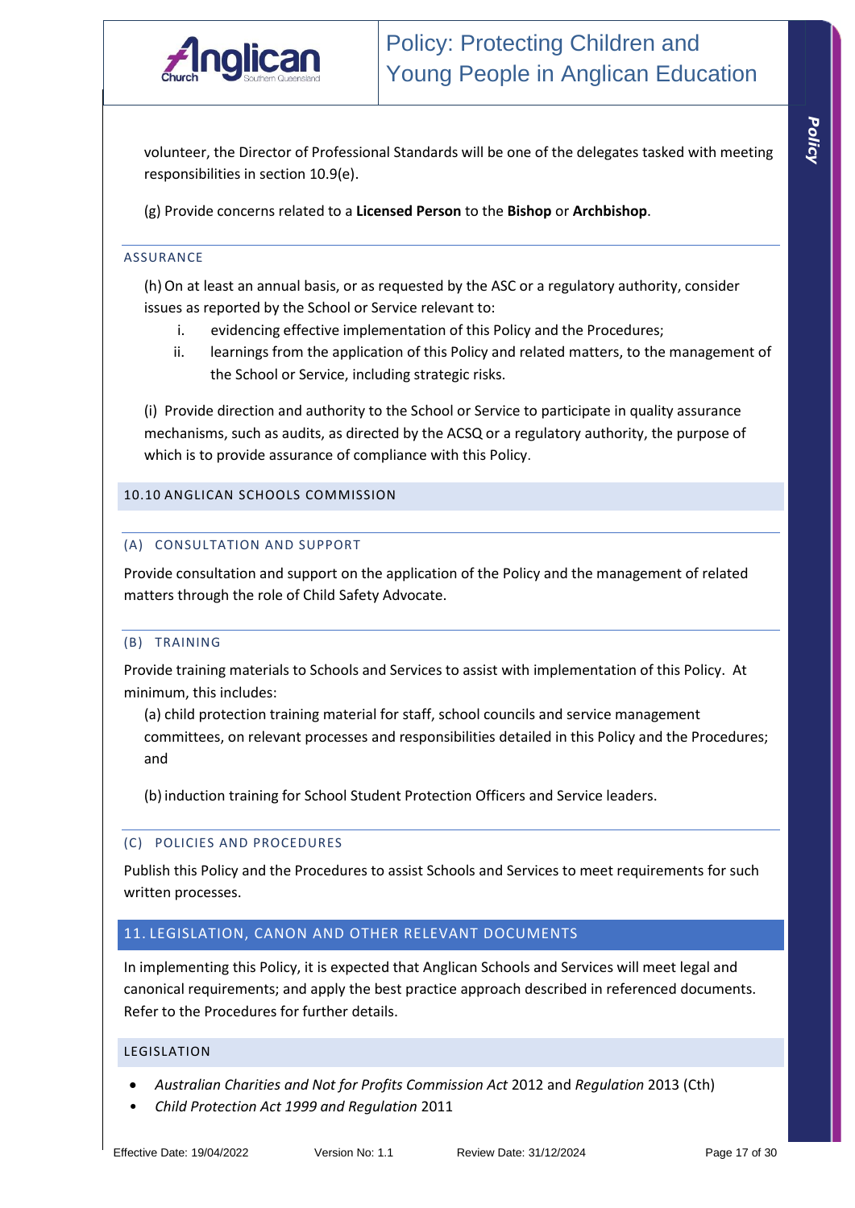

*Policy* 

volunteer, the Director of Professional Standards will be one of the delegates tasked with meeting responsibilities in section 10.9(e).

(g) Provide concerns related to a **Licensed Person** to the **Bishop** or **Archbishop**.

#### ASSURANCE

(h)On at least an annual basis, or as requested by the ASC or a regulatory authority, consider issues as reported by the School or Service relevant to:

- i. evidencing effective implementation of this Policy and the Procedures;
- ii. learnings from the application of this Policy and related matters, to the management of the School or Service, including strategic risks.

(i) Provide direction and authority to the School or Service to participate in quality assurance mechanisms, such as audits, as directed by the ACSQ or a regulatory authority, the purpose of which is to provide assurance of compliance with this Policy.

#### 10.10 ANGLICAN SCHOOLS COMMISSION

#### (A) CONSULTATION AND SUPPORT

Provide consultation and support on the application of the Policy and the management of related matters through the role of Child Safety Advocate.

#### (B) TRAINING

Provide training materials to Schools and Services to assist with implementation of this Policy. At minimum, this includes:

(a) child protection training material for staff, school councils and service management committees, on relevant processes and responsibilities detailed in this Policy and the Procedures; and

(b) induction training for School Student Protection Officers and Service leaders.

#### (C) POLICIES AND PROCEDURES

Publish this Policy and the Procedures to assist Schools and Services to meet requirements for such written processes.

#### 11. LEGISLATION, CANON AND OTHER RELEVANT DOCUMENTS

In implementing this Policy, it is expected that Anglican Schools and Services will meet legal and canonical requirements; and apply the best practice approach described in referenced documents. Refer to the Procedures for further details.

#### LEGISLATION

- *Australian Charities and Not for Profits Commission Act* 2012 and *Regulation* 2013 (Cth)
- *Child Protection Act 1999 and Regulation* 2011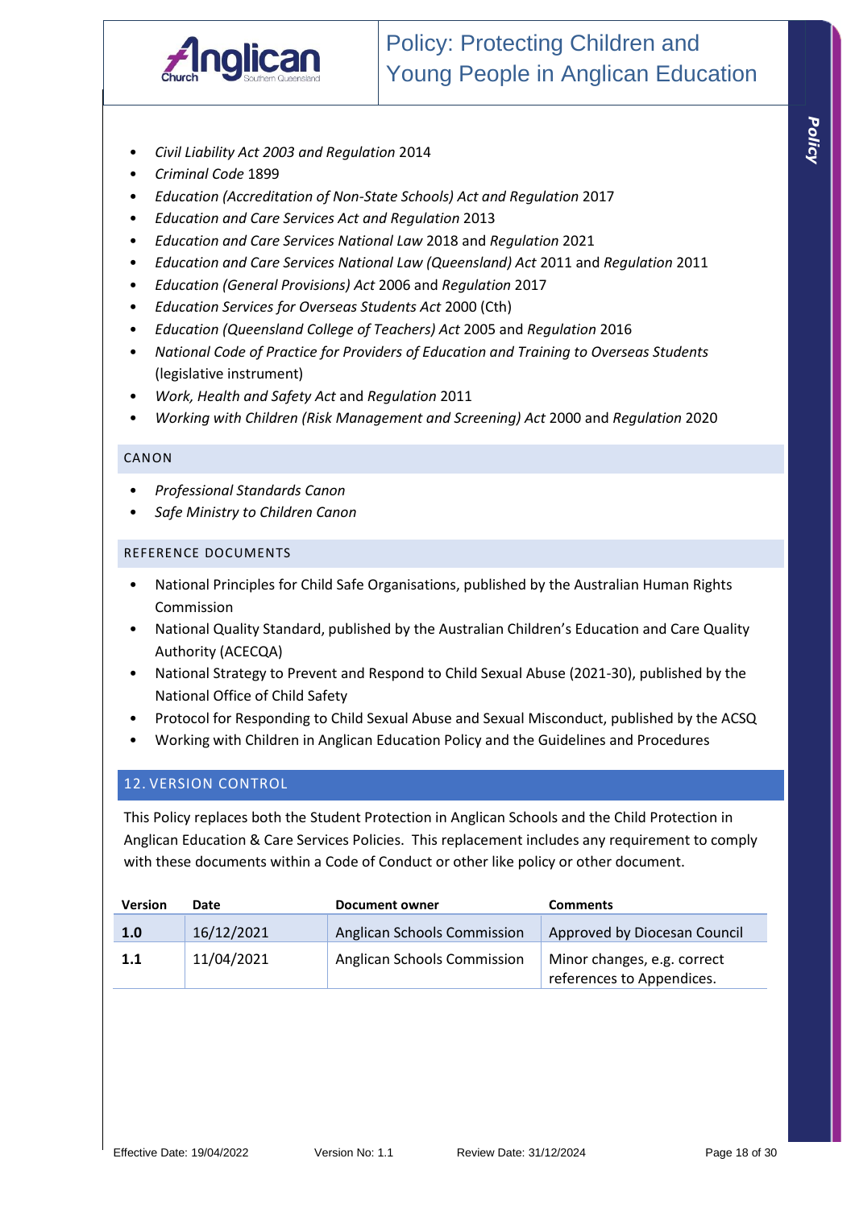

- *Civil Liability Act 2003 and Regulation* 2014
- *Criminal Code* 1899
- *Education (Accreditation of Non-State Schools) Act and Regulation* 2017
- *Education and Care Services Act and Regulation* 2013
- *Education and Care Services National Law* 2018 and *Regulation* 2021
- *Education and Care Services National Law (Queensland) Act* 2011 and *Regulation* 2011
- *Education (General Provisions) Act* 2006 and *Regulation* 2017
- *Education Services for Overseas Students Act* 2000 (Cth)
- *Education (Queensland College of Teachers) Act* 2005 and *Regulation* 2016
- *National Code of Practice for Providers of Education and Training to Overseas Students* (legislative instrument)
- *Work, Health and Safety Act* and *Regulation* 2011
- *Working with Children (Risk Management and Screening) Act* 2000 and *Regulation* 2020

#### CANON

- *Professional Standards Canon*
- *Safe Ministry to Children Canon*

#### REFERENCE DOCUMENTS

- National Principles for Child Safe Organisations, published by the Australian Human Rights Commission
- National Quality Standard, published by the Australian Children's Education and Care Quality Authority (ACECQA)
- National Strategy to Prevent and Respond to Child Sexual Abuse (2021-30), published by the National Office of Child Safety
- Protocol for Responding to Child Sexual Abuse and Sexual Misconduct, published by the ACSQ
- Working with Children in Anglican Education Policy and the Guidelines and Procedures

#### 12. VERSION CONTROL

This Policy replaces both the Student Protection in Anglican Schools and the Child Protection in Anglican Education & Care Services Policies. This replacement includes any requirement to comply with these documents within a Code of Conduct or other like policy or other document.

| <b>Version</b> | Date       | Document owner                     | <b>Comments</b>                                          |
|----------------|------------|------------------------------------|----------------------------------------------------------|
| 1.0            | 16/12/2021 | <b>Anglican Schools Commission</b> | Approved by Diocesan Council                             |
| 1.1            | 11/04/2021 | Anglican Schools Commission        | Minor changes, e.g. correct<br>references to Appendices. |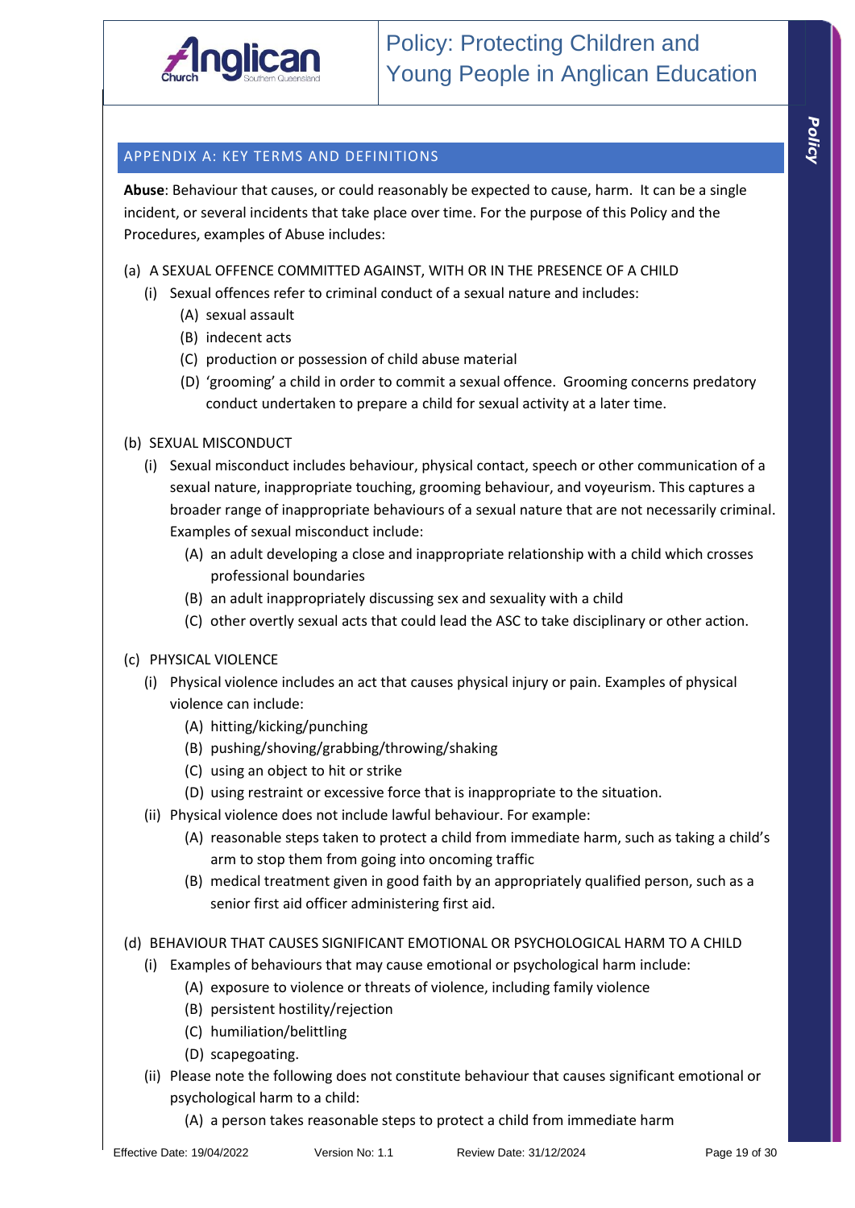

# *Policy*

## APPENDIX A: KEY TERMS AND DEFINITIONS

**Abuse**: Behaviour that causes, or could reasonably be expected to cause, harm. It can be a single incident, or several incidents that take place over time. For the purpose of this Policy and the Procedures, examples of Abuse includes:

## (a) A SEXUAL OFFENCE COMMITTED AGAINST, WITH OR IN THE PRESENCE OF A CHILD

- (i) Sexual offences refer to criminal conduct of a sexual nature and includes:
	- (A) sexual assault
	- (B) indecent acts
	- (C) production or possession of child abuse material
	- (D) 'grooming' a child in order to commit a sexual offence. Grooming concerns predatory conduct undertaken to prepare a child for sexual activity at a later time.

## (b) SEXUAL MISCONDUCT

- (i) Sexual misconduct includes behaviour, physical contact, speech or other communication of a sexual nature, inappropriate touching, grooming behaviour, and voyeurism. This captures a broader range of inappropriate behaviours of a sexual nature that are not necessarily criminal. Examples of sexual misconduct include:
	- (A) an adult developing a close and inappropriate relationship with a child which crosses professional boundaries
	- (B) an adult inappropriately discussing sex and sexuality with a child
	- (C) other overtly sexual acts that could lead the ASC to take disciplinary or other action.

#### (c) PHYSICAL VIOLENCE

- (i) Physical violence includes an act that causes physical injury or pain. Examples of physical violence can include:
	- (A) hitting/kicking/punching
	- (B) pushing/shoving/grabbing/throwing/shaking
	- (C) using an object to hit or strike
	- (D) using restraint or excessive force that is inappropriate to the situation.
- (ii) Physical violence does not include lawful behaviour. For example:
	- (A) reasonable steps taken to protect a child from immediate harm, such as taking a child's arm to stop them from going into oncoming traffic
	- (B) medical treatment given in good faith by an appropriately qualified person, such as a senior first aid officer administering first aid.

#### (d) BEHAVIOUR THAT CAUSES SIGNIFICANT EMOTIONAL OR PSYCHOLOGICAL HARM TO A CHILD

- (i) Examples of behaviours that may cause emotional or psychological harm include:
	- (A) exposure to violence or threats of violence, including family violence
	- (B) persistent hostility/rejection
	- (C) humiliation/belittling
	- (D) scapegoating.
- (ii) Please note the following does not constitute behaviour that causes significant emotional or psychological harm to a child:
	- (A) a person takes reasonable steps to protect a child from immediate harm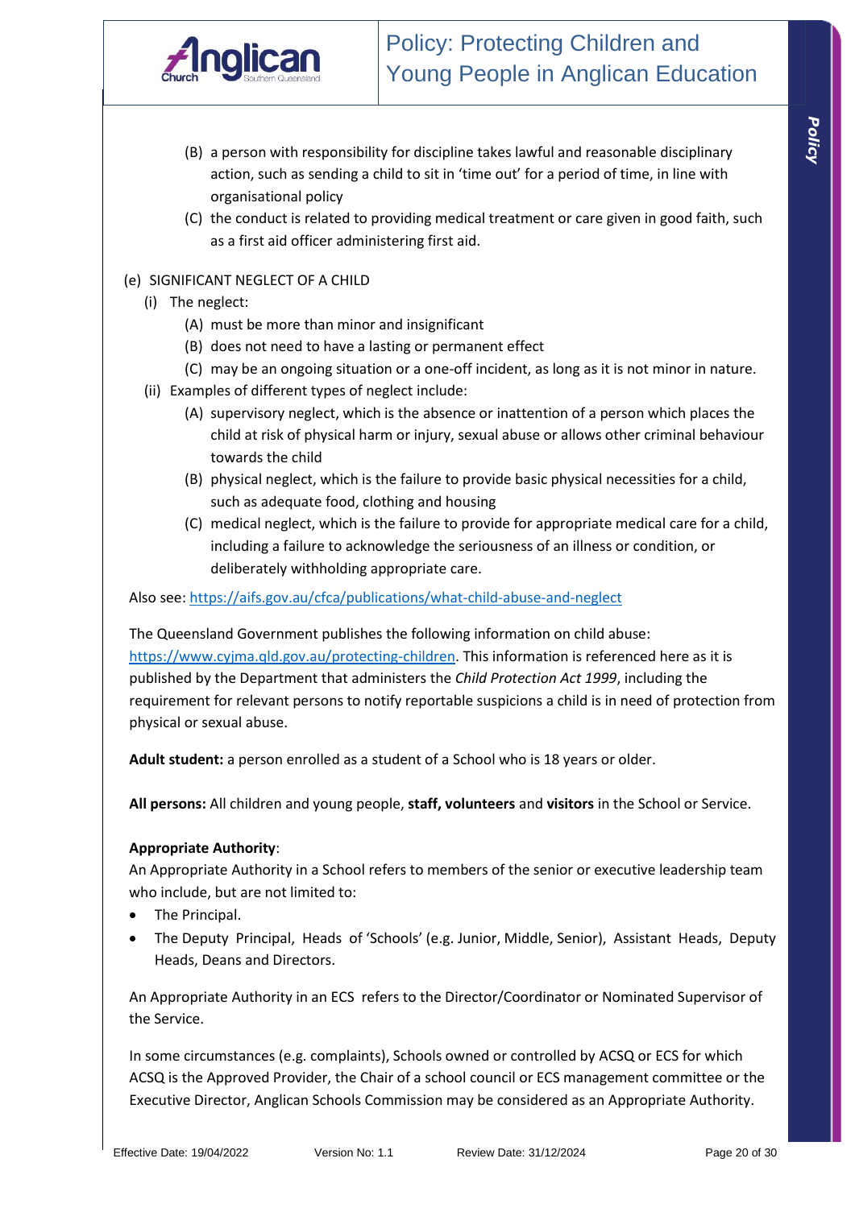

- (B) a person with responsibility for discipline takes lawful and reasonable disciplinary action, such as sending a child to sit in 'time out' for a period of time, in line with organisational policy
- (C) the conduct is related to providing medical treatment or care given in good faith, such as a first aid officer administering first aid.

#### (e) SIGNIFICANT NEGLECT OF A CHILD

- (i) The neglect:
	- (A) must be more than minor and insignificant
	- (B) does not need to have a lasting or permanent effect
	- (C) may be an ongoing situation or a one-off incident, as long as it is not minor in nature.
- (ii) Examples of different types of neglect include:
	- (A) supervisory neglect, which is the absence or inattention of a person which places the child at risk of physical harm or injury, sexual abuse or allows other criminal behaviour towards the child
	- (B) physical neglect, which is the failure to provide basic physical necessities for a child, such as adequate food, clothing and housing
	- (C) medical neglect, which is the failure to provide for appropriate medical care for a child, including a failure to acknowledge the seriousness of an illness or condition, or deliberately withholding appropriate care.

Also see: https://aifs.gov.au/cfca/publications/what-child-abuse-and-neglect

The Queensland Government publishes the following information on child abuse: https://www.cyjma.qld.gov.au/protecting-children. This information is referenced here as it is published by the Department that administers the *Child Protection Act 1999*, including the requirement for relevant persons to notify reportable suspicions a child is in need of protection from physical or sexual abuse.

**Adult student:** a person enrolled as a student of a School who is 18 years or older.

**All persons:** All children and young people, **staff, volunteers** and **visitors** in the School or Service.

#### **Appropriate Authority**:

An Appropriate Authority in a School refers to members of the senior or executive leadership team who include, but are not limited to:

- The Principal.
- The Deputy Principal, Heads of 'Schools' (e.g. Junior, Middle, Senior), Assistant Heads, Deputy Heads, Deans and Directors.

An Appropriate Authority in an ECS refers to the Director/Coordinator or Nominated Supervisor of the Service.

In some circumstances (e.g. complaints), Schools owned or controlled by ACSQ or ECS for which ACSQ is the Approved Provider, the Chair of a school council or ECS management committee or the Executive Director, Anglican Schools Commission may be considered as an Appropriate Authority.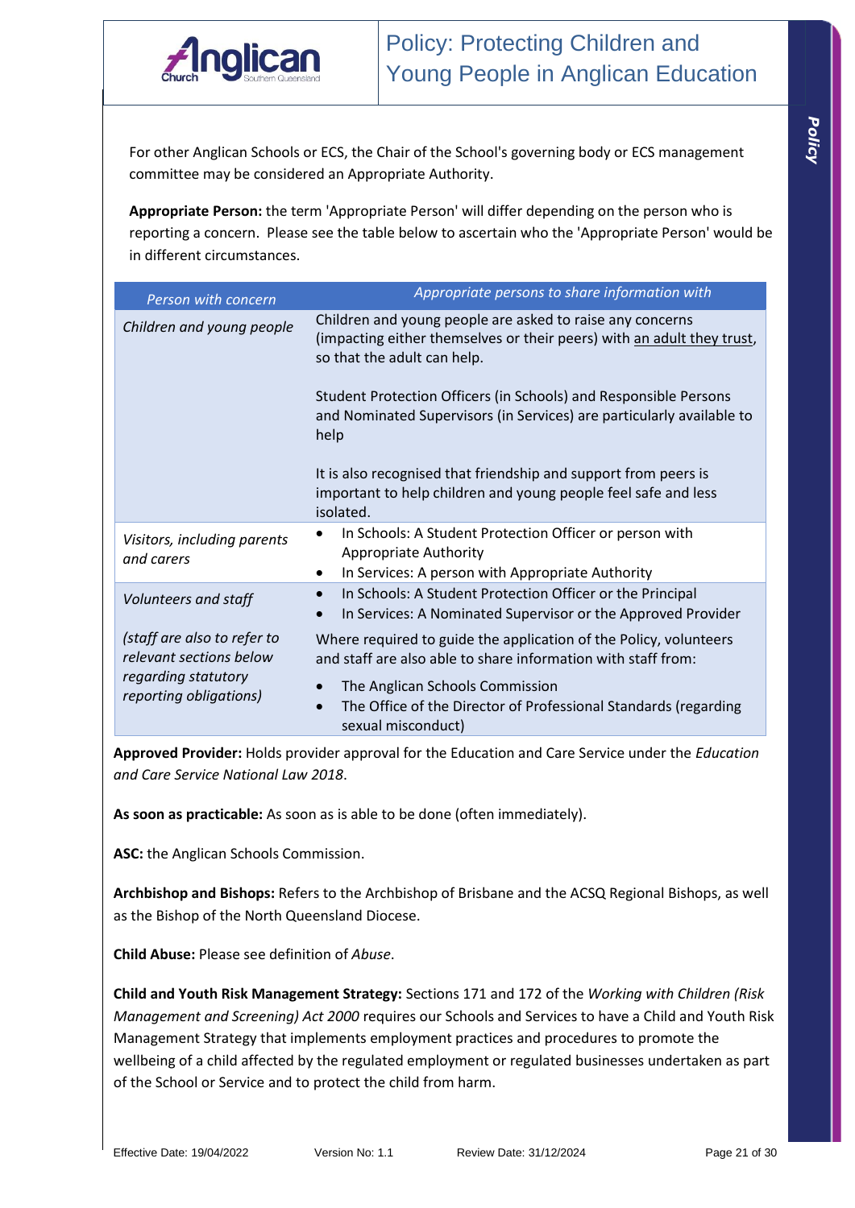

For other Anglican Schools or ECS, the Chair of the School's governing body or ECS management committee may be considered an Appropriate Authority.

**Appropriate Person:** the term 'Appropriate Person' will differ depending on the person who is reporting a concern. Please see the table below to ascertain who the 'Appropriate Person' would be in different circumstances.

| Person with concern                                    | Appropriate persons to share information with                                                                                                                      |
|--------------------------------------------------------|--------------------------------------------------------------------------------------------------------------------------------------------------------------------|
| Children and young people                              | Children and young people are asked to raise any concerns<br>(impacting either themselves or their peers) with an adult they trust,<br>so that the adult can help. |
|                                                        | Student Protection Officers (in Schools) and Responsible Persons<br>and Nominated Supervisors (in Services) are particularly available to<br>help                  |
|                                                        | It is also recognised that friendship and support from peers is<br>important to help children and young people feel safe and less<br>isolated.                     |
| Visitors, including parents<br>and carers              | In Schools: A Student Protection Officer or person with<br><b>Appropriate Authority</b><br>In Services: A person with Appropriate Authority<br>٠                   |
| Volunteers and staff                                   | In Schools: A Student Protection Officer or the Principal<br>$\bullet$<br>In Services: A Nominated Supervisor or the Approved Provider                             |
| (staff are also to refer to<br>relevant sections below | Where required to guide the application of the Policy, volunteers<br>and staff are also able to share information with staff from:                                 |
| regarding statutory<br>reporting obligations)          | The Anglican Schools Commission<br>The Office of the Director of Professional Standards (regarding<br>$\bullet$<br>sexual misconduct)                              |

**Approved Provider:** Holds provider approval for the Education and Care Service under the *Education and Care Service National Law 2018*.

**As soon as practicable:** As soon as is able to be done (often immediately).

**ASC:** the Anglican Schools Commission.

**Archbishop and Bishops:** Refers to the Archbishop of Brisbane and the ACSQ Regional Bishops, as well as the Bishop of the North Queensland Diocese.

**Child Abuse:** Please see definition of *Abuse*.

**Child and Youth Risk Management Strategy:** Sections 171 and 172 of the *Working with Children (Risk Management and Screening) Act 2000* requires our Schools and Services to have a Child and Youth Risk Management Strategy that implements employment practices and procedures to promote the wellbeing of a child affected by the regulated employment or regulated businesses undertaken as part of the School or Service and to protect the child from harm.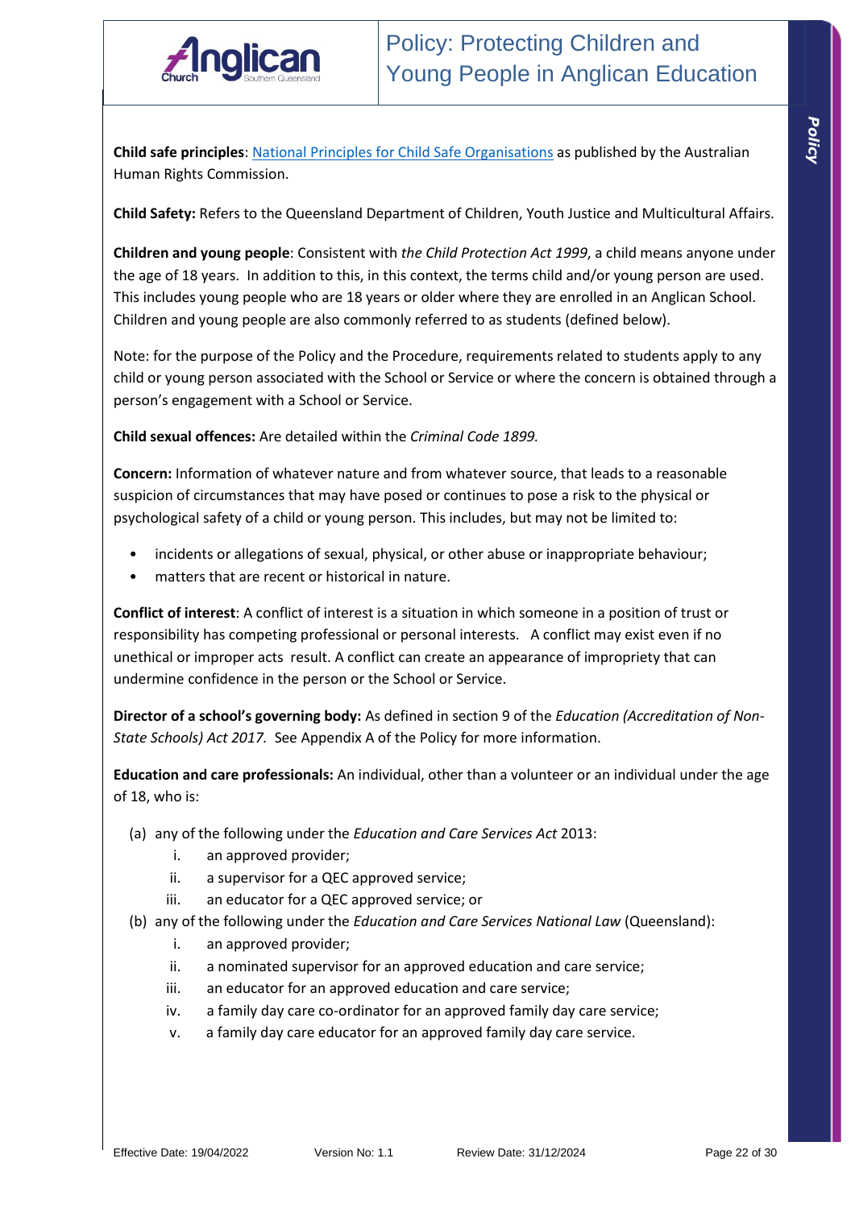

*Policy* 

**Child safe principles**: National Principles for Child Safe Organisations as published by the Australian Human Rights Commission.

**Child Safety:** Refers to the Queensland Department of Children, Youth Justice and Multicultural Affairs.

**Children and young people**: Consistent with *the Child Protection Act 1999*, a child means anyone under the age of 18 years. In addition to this, in this context, the terms child and/or young person are used. This includes young people who are 18 years or older where they are enrolled in an Anglican School. Children and young people are also commonly referred to as students (defined below).

Note: for the purpose of the Policy and the Procedure, requirements related to students apply to any child or young person associated with the School or Service or where the concern is obtained through a person's engagement with a School or Service.

**Child sexual offences:** Are detailed within the *Criminal Code 1899.*

**Concern:** Information of whatever nature and from whatever source, that leads to a reasonable suspicion of circumstances that may have posed or continues to pose a risk to the physical or psychological safety of a child or young person. This includes, but may not be limited to:

- incidents or allegations of sexual, physical, or other abuse or inappropriate behaviour;
- matters that are recent or historical in nature.

**Conflict of interest**: A conflict of interest is a situation in which someone in a position of trust or responsibility has competing professional or personal interests. A conflict may exist even if no unethical or improper acts result. A conflict can create an appearance of impropriety that can undermine confidence in the person or the School or Service.

**Director of a school's governing body:** As defined in section 9 of the *Education (Accreditation of Non-State Schools) Act 2017.* See Appendix A of the Policy for more information.

**Education and care professionals:** An individual, other than a volunteer or an individual under the age of 18, who is:

- (a) any of the following under the *Education and Care Services Act* 2013:
	- i. an approved provider;
	- ii. a supervisor for a QEC approved service;
	- iii. an educator for a QEC approved service; or
- (b) any of the following under the *Education and Care Services National Law* (Queensland):
	- i. an approved provider;
	- ii. a nominated supervisor for an approved education and care service;
	- iii. an educator for an approved education and care service;
	- iv. a family day care co-ordinator for an approved family day care service;
	- v. a family day care educator for an approved family day care service.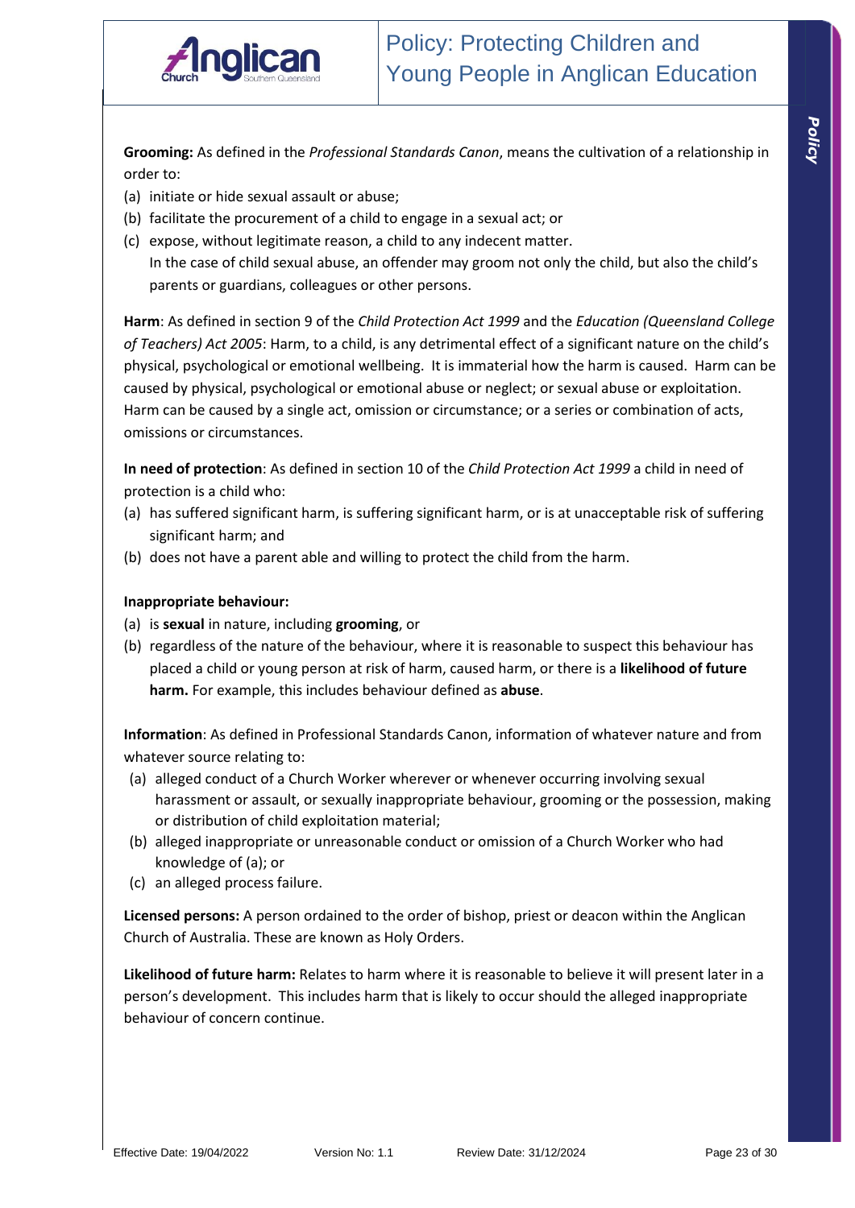

**Grooming:** As defined in the *Professional Standards Canon*, means the cultivation of a relationship in order to:

- (a) initiate or hide sexual assault or abuse;
- (b) facilitate the procurement of a child to engage in a sexual act; or
- (c) expose, without legitimate reason, a child to any indecent matter. In the case of child sexual abuse, an offender may groom not only the child, but also the child's parents or guardians, colleagues or other persons.

**Harm**: As defined in section 9 of the *Child Protection Act 1999* and the *Education (Queensland College of Teachers) Act 2005*: Harm, to a child, is any detrimental effect of a significant nature on the child's physical, psychological or emotional wellbeing. It is immaterial how the harm is caused. Harm can be caused by physical, psychological or emotional abuse or neglect; or sexual abuse or exploitation. Harm can be caused by a single act, omission or circumstance; or a series or combination of acts, omissions or circumstances.

**In need of protection**: As defined in section 10 of the *Child Protection Act 1999* a child in need of protection is a child who:

- (a) has suffered significant harm, is suffering significant harm, or is at unacceptable risk of suffering significant harm; and
- (b) does not have a parent able and willing to protect the child from the harm.

#### **Inappropriate behaviour:**

- (a) is **sexual** in nature, including **grooming**, or
- (b) regardless of the nature of the behaviour, where it is reasonable to suspect this behaviour has placed a child or young person at risk of harm, caused harm, or there is a **likelihood of future harm.** For example, this includes behaviour defined as **abuse**.

**Information**: As defined in Professional Standards Canon, information of whatever nature and from whatever source relating to:

- (a) alleged conduct of a Church Worker wherever or whenever occurring involving sexual harassment or assault, or sexually inappropriate behaviour, grooming or the possession, making or distribution of child exploitation material;
- (b) alleged inappropriate or unreasonable conduct or omission of a Church Worker who had knowledge of (a); or
- (c) an alleged process failure.

**Licensed persons:** A person ordained to the order of bishop, priest or deacon within the Anglican Church of Australia. These are known as Holy Orders.

**Likelihood of future harm:** Relates to harm where it is reasonable to believe it will present later in a person's development. This includes harm that is likely to occur should the alleged inappropriate behaviour of concern continue.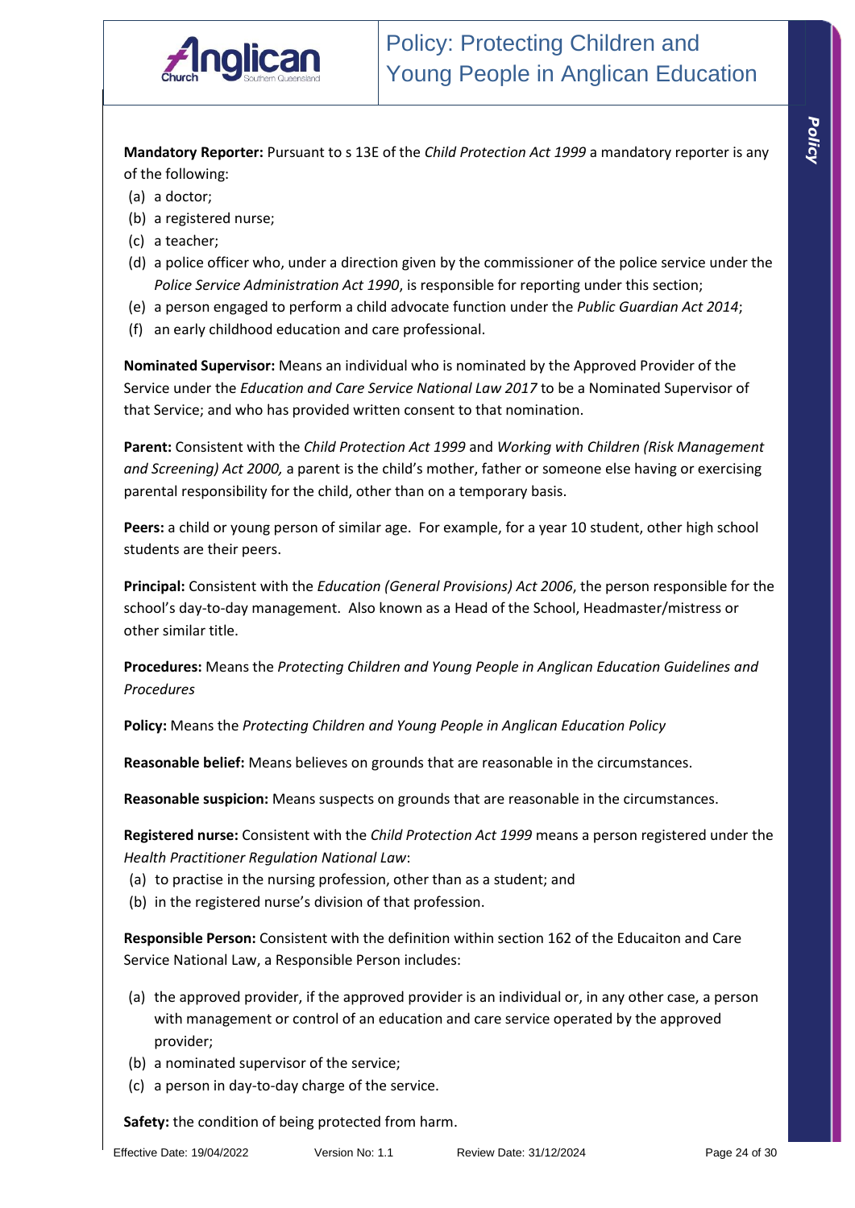

**Mandatory Reporter:** Pursuant to s 13E of the *Child Protection Act 1999* a mandatory reporter is any of the following:

- (a) a doctor;
- (b) a registered nurse;
- (c) a teacher;
- (d) a police officer who, under a direction given by the commissioner of the police service under the *Police Service Administration Act 1990*, is responsible for reporting under this section;
- (e) a person engaged to perform a child advocate function under the *Public Guardian Act 2014*;
- (f) an early childhood education and care professional.

**Nominated Supervisor:** Means an individual who is nominated by the Approved Provider of the Service under the *Education and Care Service National Law 2017* to be a Nominated Supervisor of that Service; and who has provided written consent to that nomination.

**Parent:** Consistent with the *Child Protection Act 1999* and *Working with Children (Risk Management and Screening) Act 2000,* a parent is the child's mother, father or someone else having or exercising parental responsibility for the child, other than on a temporary basis.

**Peers:** a child or young person of similar age. For example, for a year 10 student, other high school students are their peers.

**Principal:** Consistent with the *Education (General Provisions) Act 2006*, the person responsible for the school's day-to-day management. Also known as a Head of the School, Headmaster/mistress or other similar title.

**Procedures:** Means the *Protecting Children and Young People in Anglican Education Guidelines and Procedures*

**Policy:** Means the *Protecting Children and Young People in Anglican Education Policy*

**Reasonable belief:** Means believes on grounds that are reasonable in the circumstances.

**Reasonable suspicion:** Means suspects on grounds that are reasonable in the circumstances.

**Registered nurse:** Consistent with the *Child Protection Act 1999* means a person registered under the *Health Practitioner Regulation National Law*:

- (a) to practise in the nursing profession, other than as a student; and
- (b) in the registered nurse's division of that profession.

**Responsible Person:** Consistent with the definition within section 162 of the Educaiton and Care Service National Law, a Responsible Person includes:

- (a) the approved provider, if the approved provider is an individual or, in any other case, a person with management or control of an education and care service operated by the approved provider;
- (b) a nominated supervisor of the service;
- (c) a person in day-to-day charge of the service.

**Safety:** the condition of being protected from harm.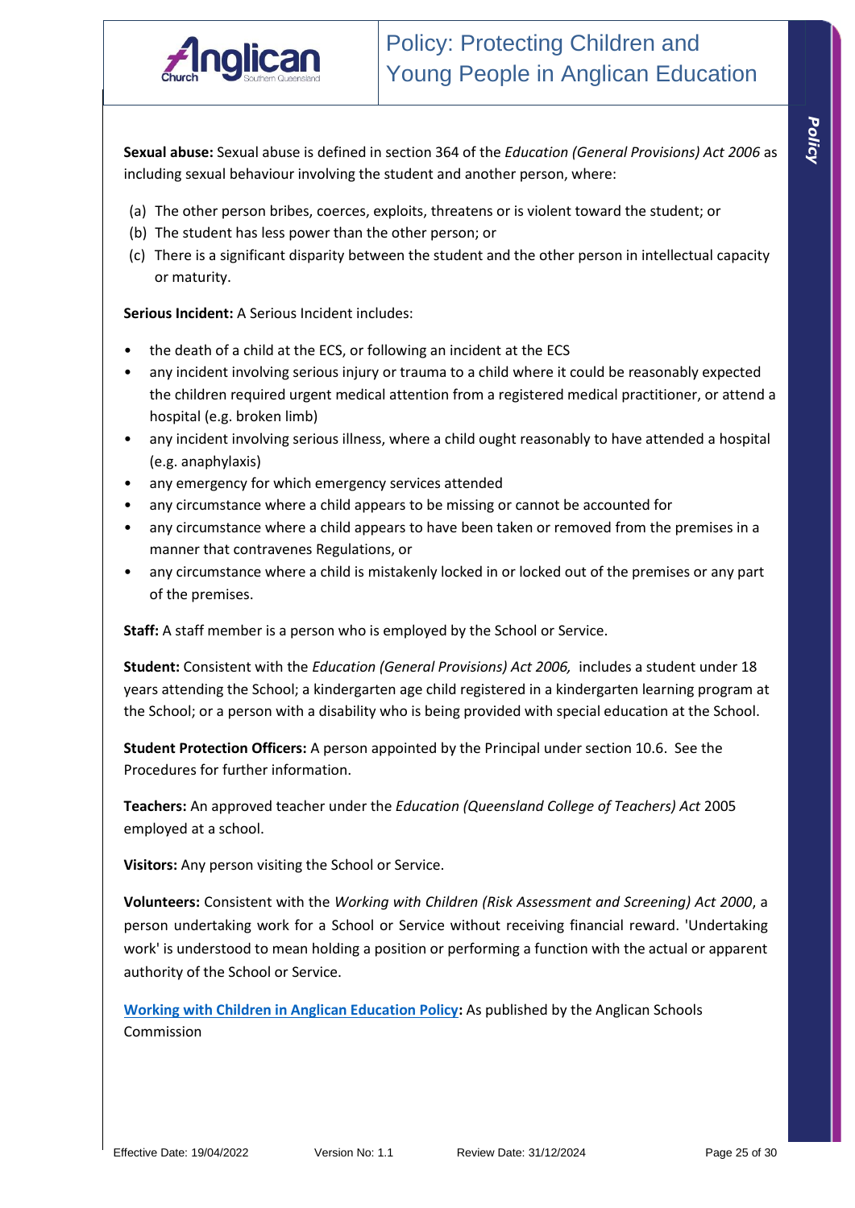

*Policy* 

**Sexual abuse:** Sexual abuse is defined in section 364 of the *Education (General Provisions) Act 2006* as including sexual behaviour involving the student and another person, where:

- (a) The other person bribes, coerces, exploits, threatens or is violent toward the student; or
- (b) The student has less power than the other person; or
- (c) There is a significant disparity between the student and the other person in intellectual capacity or maturity.

**Serious Incident:** A Serious Incident includes:

- the death of a child at the ECS, or following an incident at the ECS
- any incident involving serious injury or trauma to a child where it could be reasonably expected the children required urgent medical attention from a registered medical practitioner, or attend a hospital (e.g. broken limb)
- any incident involving serious illness, where a child ought reasonably to have attended a hospital (e.g. anaphylaxis)
- any emergency for which emergency services attended
- any circumstance where a child appears to be missing or cannot be accounted for
- any circumstance where a child appears to have been taken or removed from the premises in a manner that contravenes Regulations, or
- any circumstance where a child is mistakenly locked in or locked out of the premises or any part of the premises.

**Staff:** A staff member is a person who is employed by the School or Service.

**Student:** Consistent with the *Education (General Provisions) Act 2006,* includes a student under 18 years attending the School; a kindergarten age child registered in a kindergarten learning program at the School; or a person with a disability who is being provided with special education at the School.

**Student Protection Officers:** A person appointed by the Principal under section 10.6. See the Procedures for further information.

**Teachers:** An approved teacher under the *Education (Queensland College of Teachers) Act* 2005 employed at a school.

**Visitors:** Any person visiting the School or Service.

**Volunteers:** Consistent with the *Working with Children (Risk Assessment and Screening) Act 2000*, a person undertaking work for a School or Service without receiving financial reward. 'Undertaking work' is understood to mean holding a position or performing a function with the actual or apparent authority of the School or Service.

**Working with Children in Anglican Education Policy:** As published by the Anglican Schools Commission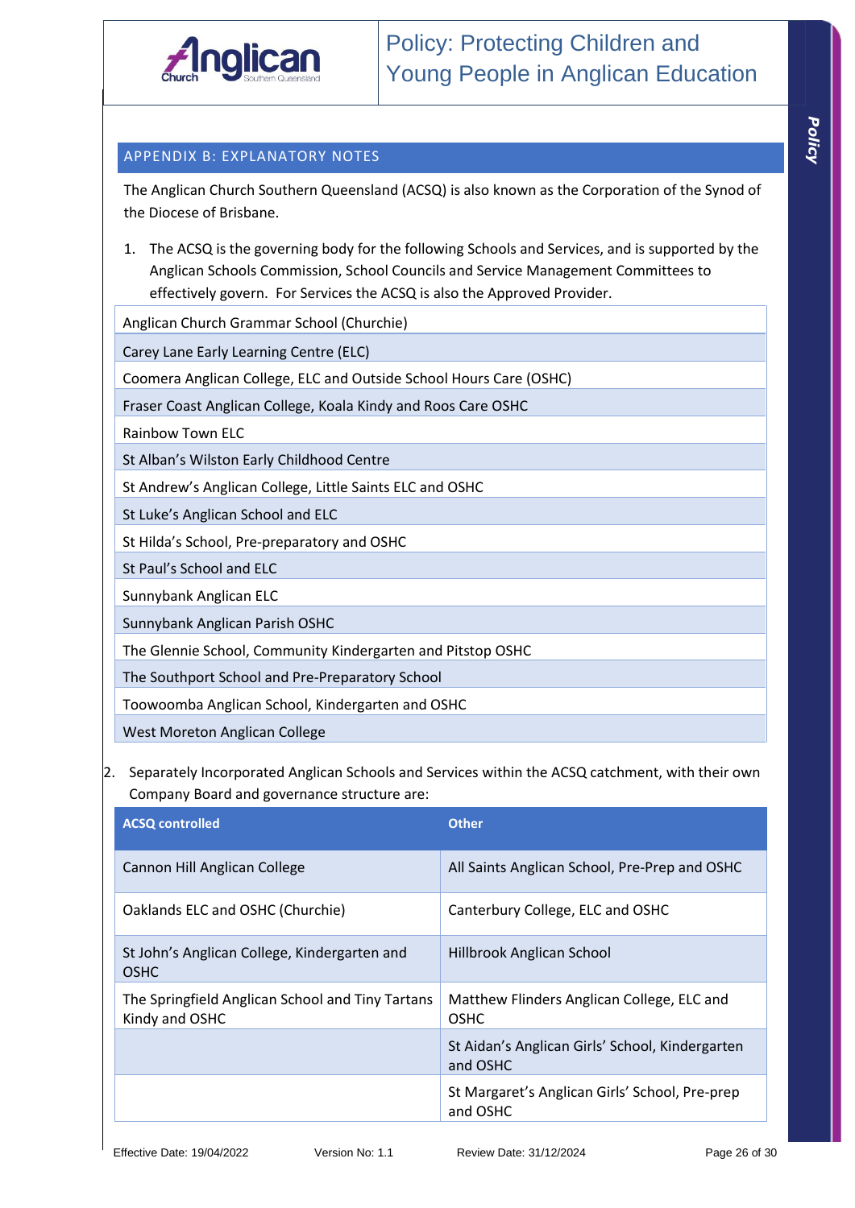

## APPENDIX B: EXPLANATORY NOTES

The Anglican Church Southern Queensland (ACSQ) is also known as the Corporation of the Synod of the Diocese of Brisbane.

1. The ACSQ is the governing body for the following Schools and Services, and is supported by the Anglican Schools Commission, School Councils and Service Management Committees to effectively govern. For Services the ACSQ is also the Approved Provider.

Anglican Church Grammar School (Churchie)

Carey Lane Early Learning Centre (ELC)

Coomera Anglican College, ELC and Outside School Hours Care (OSHC)

Fraser Coast Anglican College, Koala Kindy and Roos Care OSHC

Rainbow Town ELC

St Alban's Wilston Early Childhood Centre

St Andrew's Anglican College, Little Saints ELC and OSHC

St Luke's Anglican School and ELC

St Hilda's School, Pre-preparatory and OSHC

St Paul's School and ELC

Sunnybank Anglican ELC

Sunnybank Anglican Parish OSHC

The Glennie School, Community Kindergarten and Pitstop OSHC

The Southport School and Pre-Preparatory School

Toowoomba Anglican School, Kindergarten and OSHC

West Moreton Anglican College

2. Separately Incorporated Anglican Schools and Services within the ACSQ catchment, with their own Company Board and governance structure are:

| <b>ACSQ controlled</b>                                             | <b>Other</b>                                                |
|--------------------------------------------------------------------|-------------------------------------------------------------|
| Cannon Hill Anglican College                                       | All Saints Anglican School, Pre-Prep and OSHC               |
| Oaklands ELC and OSHC (Churchie)                                   | Canterbury College, ELC and OSHC                            |
| St John's Anglican College, Kindergarten and<br><b>OSHC</b>        | Hillbrook Anglican School                                   |
| The Springfield Anglican School and Tiny Tartans<br>Kindy and OSHC | Matthew Flinders Anglican College, ELC and<br><b>OSHC</b>   |
|                                                                    | St Aidan's Anglican Girls' School, Kindergarten<br>and OSHC |
|                                                                    | St Margaret's Anglican Girls' School, Pre-prep<br>and OSHC  |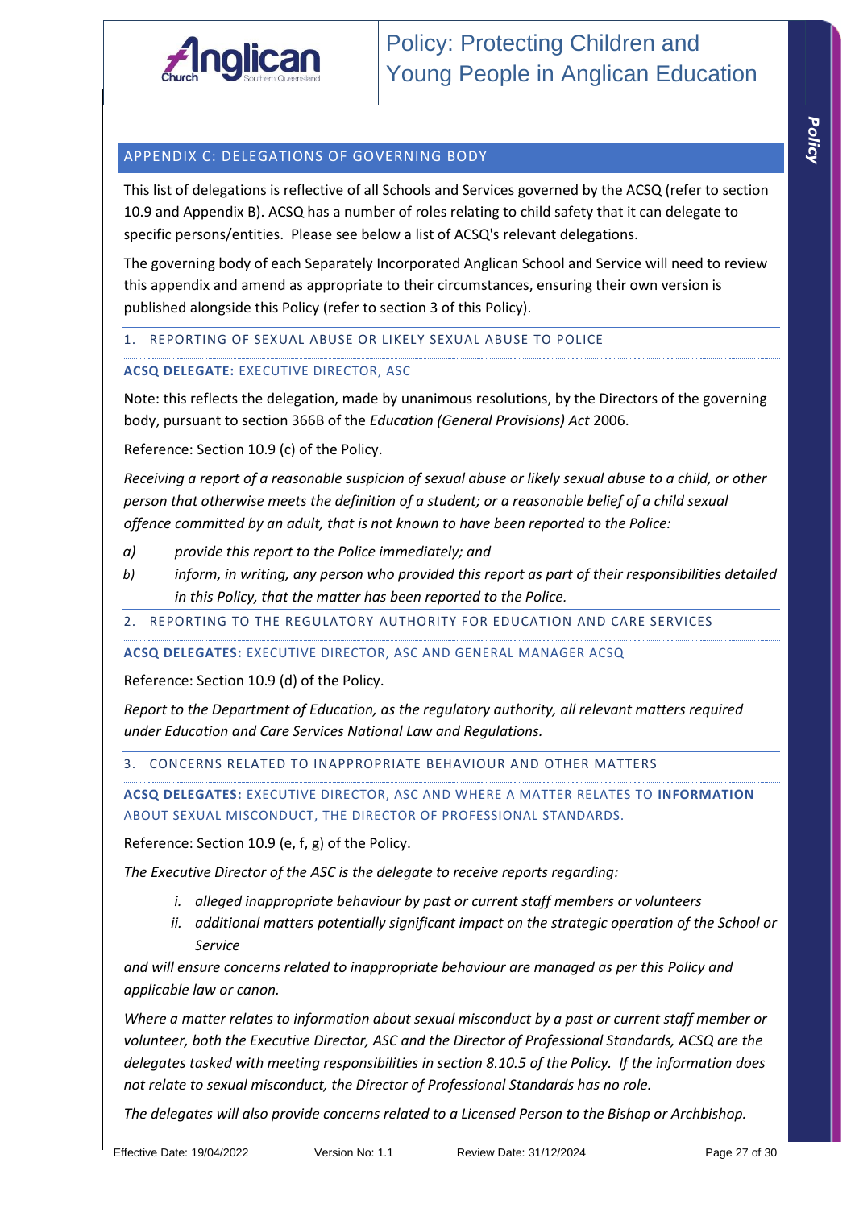

This list of delegations is reflective of all Schools and Services governed by the ACSQ (refer to section 10.9 and Appendix B). ACSQ has a number of roles relating to child safety that it can delegate to specific persons/entities. Please see below a list of ACSQ's relevant delegations.

The governing body of each Separately Incorporated Anglican School and Service will need to review this appendix and amend as appropriate to their circumstances, ensuring their own version is published alongside this Policy (refer to section 3 of this Policy).

1. REPORTING OF SEXUAL ABUSE OR LIKELY SEXUAL ABUSE TO POLICE

## **ACSQ DELEGATE:** EXECUTIVE DIRECTOR, ASC

Note: this reflects the delegation, made by unanimous resolutions, by the Directors of the governing body, pursuant to section 366B of the *Education (General Provisions) Act* 2006.

Reference: Section 10.9 (c) of the Policy.

*Receiving a report of a reasonable suspicion of sexual abuse or likely sexual abuse to a child, or other person that otherwise meets the definition of a student; or a reasonable belief of a child sexual offence committed by an adult, that is not known to have been reported to the Police:*

- *a) provide this report to the Police immediately; and*
- *b) inform, in writing, any person who provided this report as part of their responsibilities detailed in this Policy, that the matter has been reported to the Police.*
- 2. REPORTING TO THE REGULATORY AUTHORITY FOR EDUCATION AND CARE SERVICES

#### **ACSQ DELEGATES:** EXECUTIVE DIRECTOR, ASC AND GENERAL MANAGER ACSQ

Reference: Section 10.9 (d) of the Policy.

*Report to the Department of Education, as the regulatory authority, all relevant matters required under Education and Care Services National Law and Regulations.* 

3. CONCERNS RELATED TO INAPPROPRIATE BEHAVIOUR AND OTHER MATTERS

**ACSQ DELEGATES:** EXECUTIVE DIRECTOR, ASC AND WHERE A MATTER RELATES TO **INFORMATION** ABOUT SEXUAL MISCONDUCT, THE DIRECTOR OF PROFESSIONAL STANDARDS.

Reference: Section 10.9 (e, f, g) of the Policy.

*The Executive Director of the ASC is the delegate to receive reports regarding:*

- *i. alleged inappropriate behaviour by past or current staff members or volunteers*
- *ii. additional matters potentially significant impact on the strategic operation of the School or Service*

*and will ensure concerns related to inappropriate behaviour are managed as per this Policy and applicable law or canon.*

*Where a matter relates to information about sexual misconduct by a past or current staff member or volunteer, both the Executive Director, ASC and the Director of Professional Standards, ACSQ are the delegates tasked with meeting responsibilities in section 8.10.5 of the Policy. If the information does not relate to sexual misconduct, the Director of Professional Standards has no role.*

*The delegates will also provide concerns related to a Licensed Person to the Bishop or Archbishop.*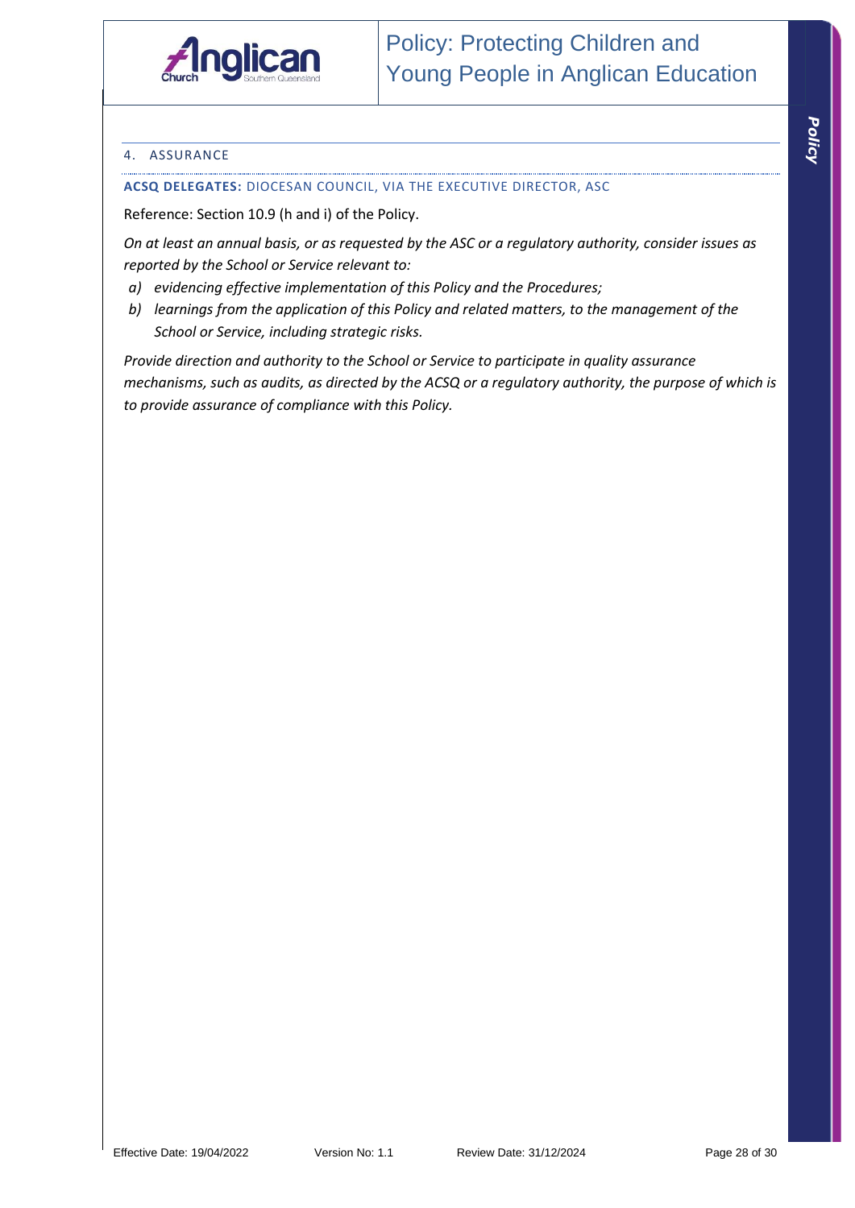

#### 4. ASSURANCE

#### **ACSQ DELEGATES:** DIOCESAN COUNCIL, VIA THE EXECUTIVE DIRECTOR, ASC

Reference: Section 10.9 (h and i) of the Policy.

*On at least an annual basis, or as requested by the ASC or a regulatory authority, consider issues as reported by the School or Service relevant to:*

- *a) evidencing effective implementation of this Policy and the Procedures;*
- *b) learnings from the application of this Policy and related matters, to the management of the School or Service, including strategic risks.*

*Provide direction and authority to the School or Service to participate in quality assurance mechanisms, such as audits, as directed by the ACSQ or a regulatory authority, the purpose of which is to provide assurance of compliance with this Policy.*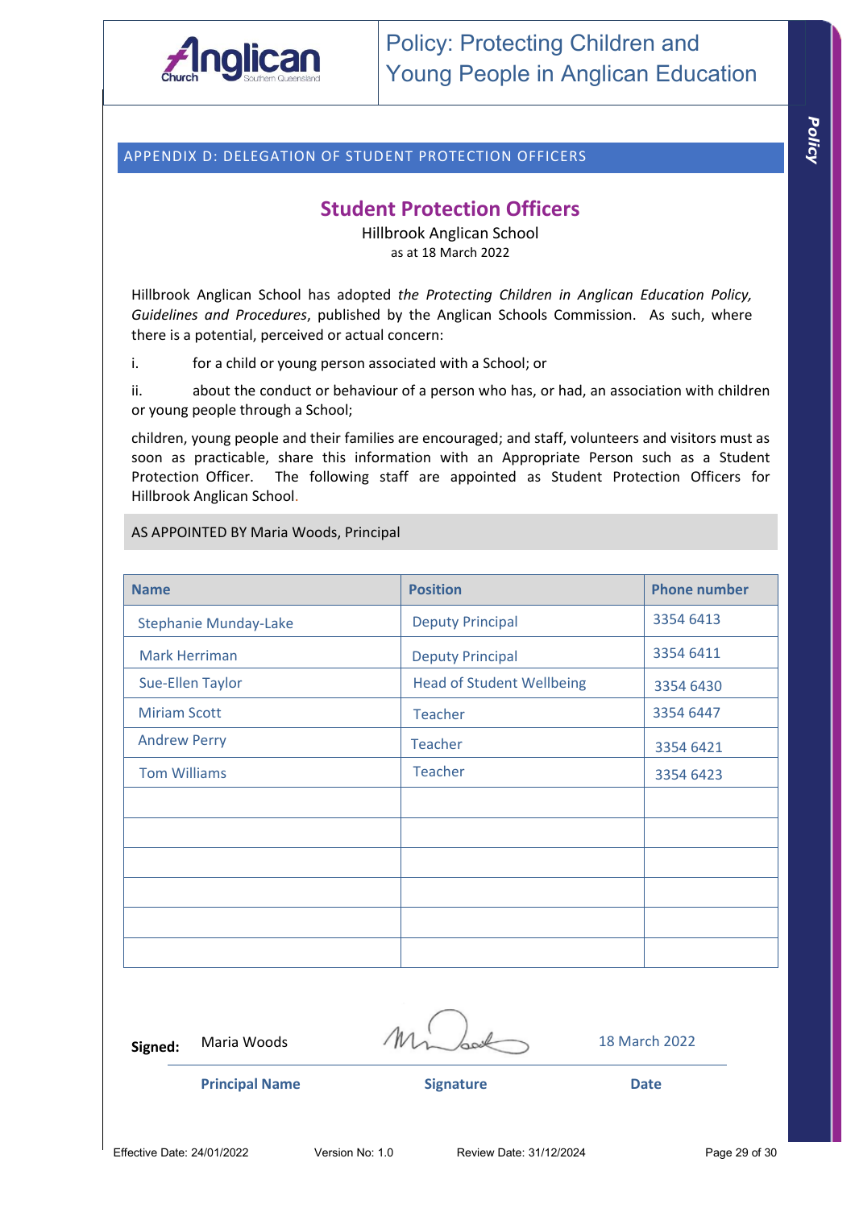

## APPENDIX D: DELEGATION OF STUDENT PROTECTION OFFICERS

## **Student Protection Officers**

Hillbrook Anglican School as at 18 March 2022

Hillbrook Anglican School has adopted *the Protecting Children in Anglican Education Policy, Guidelines and Procedures*, published by the Anglican Schools Commission. As such, where there is a potential, perceived or actual concern:

i. for a child or young person associated with a School; or

ii. about the conduct or behaviour of a person who has, or had, an association with children or young people through a School;

children, young people and their families are encouraged; and staff, volunteers and visitors must as soon as practicable, share this information with an Appropriate Person such as a Student Protection Officer. The following staff are appointed as Student Protection Officers for Hillbrook Anglican School.

AS APPOINTED BY Maria Woods, Principal

| <b>Name</b>                  | <b>Position</b>                  | <b>Phone number</b> |
|------------------------------|----------------------------------|---------------------|
| <b>Stephanie Munday-Lake</b> | <b>Deputy Principal</b>          | 3354 6413           |
| <b>Mark Herriman</b>         | <b>Deputy Principal</b>          | 3354 6411           |
| <b>Sue-Ellen Taylor</b>      | <b>Head of Student Wellbeing</b> | 3354 6430           |
| <b>Miriam Scott</b>          | <b>Teacher</b>                   | 3354 6447           |
| <b>Andrew Perry</b>          | Teacher                          | 3354 6421           |
| <b>Tom Williams</b>          | <b>Teacher</b>                   | 3354 6423           |
|                              |                                  |                     |
|                              |                                  |                     |
|                              |                                  |                     |
|                              |                                  |                     |
|                              |                                  |                     |
|                              |                                  |                     |

**Signed:**

Maria Woods  $/M_{\odot}$  60  $\ll 18$  March 2022

**Principal Name Signature Date**